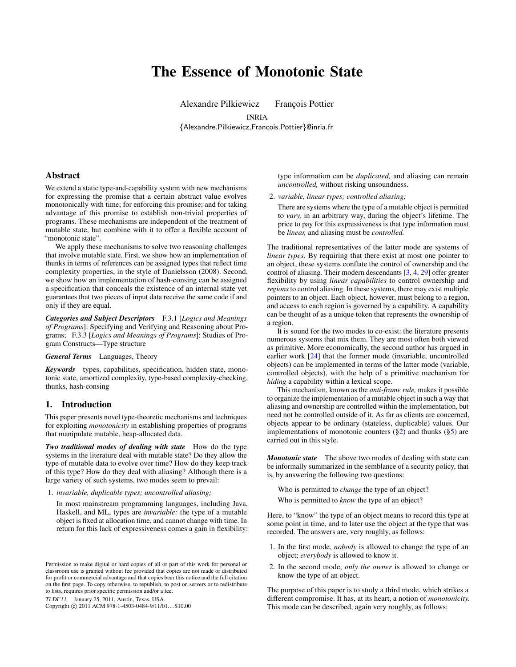# The Essence of Monotonic State

Alexandre Pilkiewicz François Pottier

INRIA

{Alexandre.Pilkiewicz,Francois.Pottier}@inria.fr

## Abstract

We extend a static type-and-capability system with new mechanisms for expressing the promise that a certain abstract value evolves monotonically with time; for enforcing this promise; and for taking advantage of this promise to establish non-trivial properties of programs. These mechanisms are independent of the treatment of mutable state, but combine with it to offer a flexible account of "monotonic state".

We apply these mechanisms to solve two reasoning challenges that involve mutable state. First, we show how an implementation of thunks in terms of references can be assigned types that reflect time complexity properties, in the style of Danielsson (2008). Second, we show how an implementation of hash-consing can be assigned a specification that conceals the existence of an internal state yet guarantees that two pieces of input data receive the same code if and only if they are equal.

*Categories and Subject Descriptors* F.3.1 [*Logics and Meanings of Programs*]: Specifying and Verifying and Reasoning about Programs; F.3.3 [*Logics and Meanings of Programs*]: Studies of Program Constructs—Type structure

#### *General Terms* Languages, Theory

*Keywords* types, capabilities, specification, hidden state, monotonic state, amortized complexity, type-based complexity-checking, thunks, hash-consing

## <span id="page-0-0"></span>1. Introduction

This paper presents novel type-theoretic mechanisms and techniques for exploiting *monotonicity* in establishing properties of programs that manipulate mutable, heap-allocated data.

*Two traditional modes of dealing with state* How do the type systems in the literature deal with mutable state? Do they allow the type of mutable data to evolve over time? How do they keep track of this type? How do they deal with aliasing? Although there is a large variety of such systems, two modes seem to prevail:

#### 1. *invariable, duplicable types; uncontrolled aliasing;*

In most mainstream programming languages, including Java, Haskell, and ML, types are *invariable:* the type of a mutable object is fixed at allocation time, and cannot change with time. In return for this lack of expressiveness comes a gain in flexibility:

TLDI'11, January 25, 2011, Austin, Texas, USA.

Copyright © 2011 ACM 978-1-4503-0484-9/11/01... \$10.00

type information can be *duplicated,* and aliasing can remain *uncontrolled,* without risking unsoundness.

2. *variable, linear types; controlled aliasing;*

There are systems where the type of a mutable object is permitted to *vary,* in an arbitrary way, during the object's lifetime. The price to pay for this expressiveness is that type information must be *linear,* and aliasing must be *controlled.*

The traditional representatives of the latter mode are systems of *linear types.* By requiring that there exist at most one pointer to an object, these systems conflate the control of ownership and the control of aliasing. Their modern descendants [\[3,](#page-11-0) [4,](#page-11-1) [29\]](#page-12-0) offer greater flexibility by using *linear capabilities* to control ownership and *regions* to control aliasing. In these systems, there may exist multiple pointers to an object. Each object, however, must belong to a region, and access to each region is governed by a capability. A capability can be thought of as a unique token that represents the ownership of a region.

It is sound for the two modes to co-exist: the literature presents numerous systems that mix them. They are most often both viewed as primitive. More economically, the second author has argued in earlier work [\[24\]](#page-12-1) that the former mode (invariable, uncontrolled objects) can be implemented in terms of the latter mode (variable, controlled objects), with the help of a primitive mechanism for *hiding* a capability within a lexical scope.

This mechanism, known as the *anti-frame rule,* makes it possible to organize the implementation of a mutable object in such a way that aliasing and ownership are controlled within the implementation, but need not be controlled outside of it. As far as clients are concerned, objects appear to be ordinary (stateless, duplicable) values. Our implementations of monotonic counters  $(\S_2)$  and thunks  $(\S_5)$  are carried out in this style.

*Monotonic state* The above two modes of dealing with state can be informally summarized in the semblance of a security policy, that is, by answering the following two questions:

Who is permitted to *change* the type of an object? Who is permitted to *know* the type of an object?

Here, to "know" the type of an object means to record this type at some point in time, and to later use the object at the type that was recorded. The answers are, very roughly, as follows:

- 1. In the first mode, *nobody* is allowed to change the type of an object; *everybody* is allowed to know it.
- 2. In the second mode, *only the owner* is allowed to change or know the type of an object.

The purpose of this paper is to study a third mode, which strikes a different compromise. It has, at its heart, a notion of *monotonicity.* This mode can be described, again very roughly, as follows:

Permission to make digital or hard copies of all or part of this work for personal or classroom use is granted without fee provided that copies are not made or distributed for profit or commercial advantage and that copies bear this notice and the full citation on the first page. To copy otherwise, to republish, to post on servers or to redistribute to lists, requires prior specific permission and/or a fee.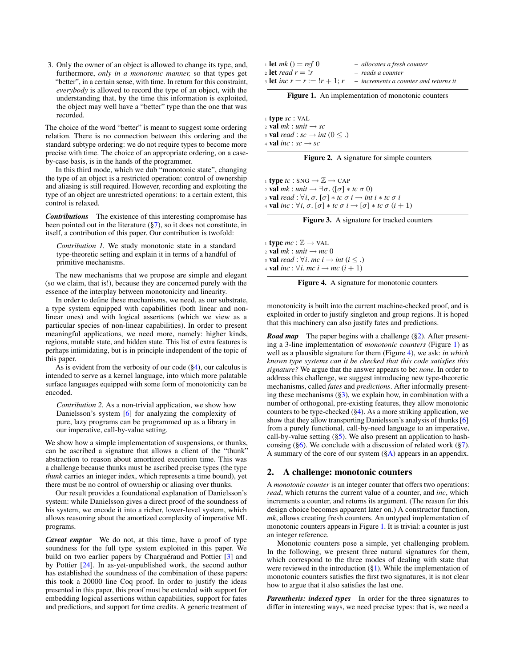3. Only the owner of an object is allowed to change its type, and, furthermore, *only in a monotonic manner,* so that types get "better", in a certain sense, with time. In return for this constraint, *everybody* is allowed to record the type of an object, with the understanding that, by the time this information is exploited, the object may well have a "better" type than the one that was recorded.

The choice of the word "better" is meant to suggest some ordering relation. There is no connection between this ordering and the standard subtype ordering: we do not require types to become more precise with time. The choice of an appropriate ordering, on a caseby-case basis, is in the hands of the programmer.

In this third mode, which we dub "monotonic state", changing the type of an object is a restricted operation: control of ownership and aliasing is still required. However, recording and exploiting the type of an object are unrestricted operations: to a certain extent, this control is relaxed.

*Contributions* The existence of this interesting compromise has been pointed out in the literature ([§7\)](#page-10-0), so it does not constitute, in itself, a contribution of this paper. Our contribution is twofold:

*Contribution 1.* We study monotonic state in a standard type-theoretic setting and explain it in terms of a handful of primitive mechanisms.

The new mechanisms that we propose are simple and elegant (so we claim, that is!), because they are concerned purely with the essence of the interplay between monotonicity and linearity.

In order to define these mechanisms, we need, as our substrate, a type system equipped with capabilities (both linear and nonlinear ones) and with logical assertions (which we view as a particular species of non-linear capabilities). In order to present meaningful applications, we need more, namely: higher kinds, regions, mutable state, and hidden state. This list of extra features is perhaps intimidating, but is in principle independent of the topic of this paper.

As is evident from the verbosity of our code ([§4\)](#page-4-0), our calculus is intended to serve as a kernel language, into which more palatable surface languages equipped with some form of monotonicity can be encoded.

*Contribution 2.* As a non-trivial application, we show how Danielsson's system [\[6\]](#page-12-2) for analyzing the complexity of pure, lazy programs can be programmed up as a library in our imperative, call-by-value setting.

We show how a simple implementation of suspensions, or thunks, can be ascribed a signature that allows a client of the "thunk" abstraction to reason about amortized execution time. This was a challenge because thunks must be ascribed precise types (the type *thunk* carries an integer index, which represents a time bound), yet there must be no control of ownership or aliasing over thunks.

Our result provides a foundational explanation of Danielsson's system: while Danielsson gives a direct proof of the soundness of his system, we encode it into a richer, lower-level system, which allows reasoning about the amortized complexity of imperative ML programs.

*Caveat emptor* We do not, at this time, have a proof of type soundness for the full type system exploited in this paper. We build on two earlier papers by Charguéraud and Pottier [\[3\]](#page-11-0) and by Pottier [\[24\]](#page-12-1). In as-yet-unpublished work, the second author has established the soundness of the combination of these papers: this took a 20000 line Coq proof. In order to justify the ideas presented in this paper, this proof must be extended with support for embedding logical assertions within capabilities, support for fates and predictions, and support for time credits. A generic treatment of

- 1 **let**  $mk() = ref()$  *allocates a fresh counter* 2 **let** *read*  $r = !r$  – *reads a counter*
- 3 **let** *inc r* = *r* :=  $'r + 1$ ; *r increments a counter and returns it*

<span id="page-1-1"></span>Figure 1. An implementation of monotonic counters

<sup>1</sup> type *sc* : VAL

 $2$  val  $mk: unit \rightarrow sc$ 

3 **val** *read* :  $sc \rightarrow int$  ( $0 \leq .$ )

4 val  $inc: sc \rightarrow sc$ 

<span id="page-1-3"></span>

1 **type**  $tc:$  SNG  $\rightarrow \mathbb{Z} \rightarrow$  CAP

2 **val**  $mk: unit \rightarrow \exists \sigma$ . ([ $\sigma$ ]  $*$  *tc*  $\sigma$  0)

<sup>3</sup> val *read* : ∀*i*, σ. [σ] ∗ *tc* σ *i* → *int i* ∗ *tc* σ *i*

4 **val** *inc* :  $\forall i, \sigma$ .  $[\sigma] * tc \sigma i \rightarrow [\sigma] * tc \sigma (i + 1)$ 

<span id="page-1-4"></span>

1 **type**  $mc : \mathbb{Z} \rightarrow VAL$ 

2 val  $mk: unit \rightarrow mc$  0

- 3 val *read* : ∀*i*. *mc i* → *int* (*i* ≤ .)
- <sup>4</sup> val *inc* : ∀*i*. *mc i* → *mc* (*i* + 1)

<span id="page-1-2"></span>

monotonicity is built into the current machine-checked proof, and is exploited in order to justify singleton and group regions. It is hoped that this machinery can also justify fates and predictions.

*Road map* The paper begins with a challenge ([§2\)](#page-1-0). After presenting a 3-line implementation of *monotonic counters* (Figure [1\)](#page-1-1) as well as a plausible signature for them (Figure [4\)](#page-1-2), we ask: *in which known type systems can it be checked that this code satisfies this signature?* We argue that the answer appears to be: *none.* In order to address this challenge, we suggest introducing new type-theoretic mechanisms, called *fates* and *predictions*. After informally presenting these mechanisms  $(\frac{83}{3})$ , we explain how, in combination with a number of orthogonal, pre-existing features, they allow monotonic counters to be type-checked  $(\S4)$ . As a more striking application, we show that they allow transporting Danielsson's analysis of thunks [\[6\]](#page-12-2) from a purely functional, call-by-need language to an imperative, call-by-value setting  $(\S 5)$ . We also present an application to hashconsing ( $\S6$ ). We conclude with a discussion of related work ( $\S7$ ). A summary of the core of our system ([§A\)](#page-12-3) appears in an appendix.

### <span id="page-1-0"></span>2. A challenge: monotonic counters

A *monotonic counter* is an integer counter that offers two operations: *read*, which returns the current value of a counter, and *inc*, which increments a counter, and returns its argument. (The reason for this design choice becomes apparent later on.) A constructor function, *mk*, allows creating fresh counters. An untyped implementation of monotonic counters appears in Figure [1.](#page-1-1) It is trivial: a counter is just an integer reference.

Monotonic counters pose a simple, yet challenging problem. In the following, we present three natural signatures for them, which correspond to the three modes of dealing with state that were reviewed in the introduction  $(\S1)$ . While the implementation of monotonic counters satisfies the first two signatures, it is not clear how to argue that it also satisfies the last one.

*Parenthesis: indexed types* In order for the three signatures to differ in interesting ways, we need precise types: that is, we need a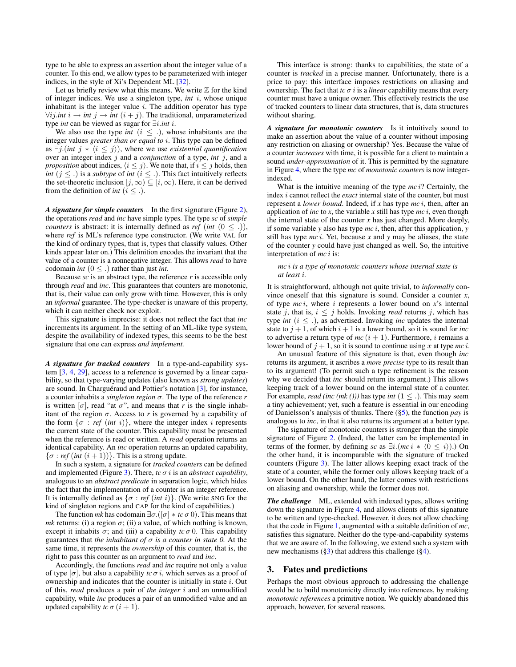type to be able to express an assertion about the integer value of a counter. To this end, we allow types to be parameterized with integer indices, in the style of Xi's Dependent ML [\[32\]](#page-12-4).

Let us briefly review what this means. We write  $\mathbb Z$  for the kind of integer indices. We use a singleton type, *int* i, whose unique inhabitant is the integer value  $i$ . The addition operator has type  $∀ij.int i → int j → int (i + j).$  The traditional, unparameterized type *int* can be viewed as sugar for ∃i.*int* i.

We also use the type *int*  $(i \leq .)$ , whose inhabitants are the integer values *greater than or equal to* i. This type can be defined as  $\exists j$ .(*int*  $j * \langle i \leq j \rangle$ ), where we use *existential quantification* over an integer index j and a *conjunction* of a type, *int* j, and a *proposition* about indices,  $\langle i \leq j \rangle$ . We note that, if  $i \leq j$  holds, then *int* ( $j \leq$  .) is a *subtype* of *int* ( $i \leq$  .). This fact intuitively reflects the set-theoretic inclusion  $[j, \infty) \subseteq [i, \infty)$ . Here, it can be derived from the definition of *int*  $(i < .)$ .

*A signature for simple counters* In the first signature (Figure [2\)](#page-1-3), the operations *read* and *inc* have simple types. The type *sc* of *simple counters* is abstract: it is internally defined as *ref* (*int*  $(0 \le .)$ ), where *ref* is ML's reference type constructor. (We write VAL for the kind of ordinary types, that is, types that classify values. Other kinds appear later on.) This definition encodes the invariant that the value of a counter is a nonnegative integer. This allows *read* to have codomain *int*  $(0 \leq .)$  rather than just *int*.

Because *sc* is an abstract type, the reference *r* is accessible only through *read* and *inc*. This guarantees that counters are monotonic, that is, their value can only grow with time. However, this is only an *informal* guarantee. The type-checker is unaware of this property, which it can neither check nor exploit.

This signature is imprecise: it does not reflect the fact that *inc* increments its argument. In the setting of an ML-like type system, despite the availability of indexed types, this seems to be the best signature that one can express *and implement.*

*A signature for tracked counters* In a type-and-capability system [\[3,](#page-11-0) [4,](#page-11-1) [29\]](#page-12-0), access to a reference is governed by a linear capability, so that type-varying updates (also known as *strong updates*) are sound. In Charguéraud and Pottier's notation [\[3\]](#page-11-0), for instance, a counter inhabits a *singleton region* σ. The type of the reference *r* is written  $[\sigma]$ , read "at  $\sigma$ ", and means that r is the single inhabitant of the region  $\sigma$ . Access to  $r$  is governed by a capability of the form  $\{\sigma : ref (int i)\}\$ , where the integer index i represents the current state of the counter. This capability must be presented when the reference is read or written. A *read* operation returns an identical capability. An *inc* operation returns an updated capability,  $\{\sigma : ref(int (i + 1))\}$ . This is a strong update.

In such a system, a signature for *tracked counters* can be defined and implemented (Figure [3\)](#page-1-4). There,  $tc \sigma i$  is an *abstract capability*, analogous to an *abstract predicate* in separation logic, which hides the fact that the implementation of a counter is an integer reference. It is internally defined as  $\{\sigma : ref (int i)\}\)$ . (We write SNG for the kind of singleton regions and CAP for the kind of capabilities.)

The function *mk* has codomain  $\exists \sigma . (|\sigma| * tc \sigma 0)$ . This means that *mk* returns: (i) a region  $\sigma$ ; (ii) a value, of which nothing is known, except it inhabits  $\sigma$ ; and (iii) a capability  $tc \sigma$  0. This capability guarantees that *the inhabitant of*  $\sigma$  *is a counter in state 0.* At the same time, it represents the *ownership* of this counter, that is, the right to pass this counter as an argument to *read* and *inc*.

Accordingly, the functions *read* and *inc* require not only a value of type  $[\sigma]$ , but also a capability *tc*  $\sigma$  *i*, which serves as a proof of ownership and indicates that the counter is initially in state  $i$ . Out of this, *read* produces a pair of *the integer* i and an unmodified capability, while *inc* produces a pair of an unmodified value and an updated capability  $tc \sigma (i + 1)$ .

This interface is strong: thanks to capabilities, the state of a counter is *tracked* in a precise manner. Unfortunately, there is a price to pay: this interface imposes restrictions on aliasing and ownership. The fact that  $tc \sigma i$  is a *linear* capability means that every counter must have a unique owner. This effectively restricts the use of tracked counters to linear data structures, that is, data structures without sharing.

*A signature for monotonic counters* Is it intuitively sound to make an assertion about the value of a counter without imposing any restriction on aliasing or ownership? Yes. Because the value of a counter *increases* with time, it is possible for a client to maintain a sound *under-approximation* of it. This is permitted by the signature in Figure [4,](#page-1-2) where the type *mc* of *monotonic counters* is now integerindexed.

What is the intuitive meaning of the type *mc* i? Certainly, the index i cannot reflect the *exact* internal state of the counter, but must represent a *lower bound*. Indeed, if *x* has type *mc* i, then, after an application of *inc* to *x*, the variable *x* still has type  $mc$  *i*, even though the internal state of the counter  $x$  has just changed. More deeply, if some variable *y* also has type *mc* i, then, after this application, *y* still has type *mc* i. Yet, because *x* and *y* may be aliases, the state of the counter *y* could have just changed as well. So, the intuitive interpretation of *mc* i is:

#### *mc* i *is a type of monotonic counters whose internal state is at least* i*.*

It is straightforward, although not quite trivial, to *informally* convince oneself that this signature is sound. Consider a counter *x*, of type *mc* i, where i represents a lower bound on *x*'s internal state j, that is,  $i \leq j$  holds. Invoking *read* returns j, which has type *int*  $(i \leq .)$ , as advertised. Invoking *inc* updates the internal state to  $j + 1$ , of which  $i + 1$  is a lower bound, so it is sound for *inc* to advertise a return type of  $mc(i + 1)$ . Furthermore, i remains a lower bound of  $j + 1$ , so it is sound to continue using x at type mc i.

An unusual feature of this signature is that, even though *inc* returns its argument, it ascribes a *more precise* type to its result than to its argument! (To permit such a type refinement is the reason why we decided that *inc* should return its argument.) This allows keeping track of a lower bound on the internal state of a counter. For example, *read (inc (mk ()))* has type *int*  $(1 \le .)$ . This may seem a tiny achievement; yet, such a feature is essential in our encoding of Danielsson's analysis of thunks. There ([§5\)](#page-6-0), the function *pay* is analogous to *inc*, in that it also returns its argument at a better type.

The signature of monotonic counters is stronger than the simple signature of Figure [2.](#page-1-3) (Indeed, the latter can be implemented in terms of the former, by defining *sc* as  $\exists i.(mc \, i * \langle 0 \le i \rangle)$ .) On the other hand, it is incomparable with the signature of tracked counters (Figure [3\)](#page-1-4). The latter allows keeping exact track of the state of a counter, while the former only allows keeping track of a lower bound. On the other hand, the latter comes with restrictions on aliasing and ownership, while the former does not.

*The challenge* ML, extended with indexed types, allows writing down the signature in Figure [4,](#page-1-2) and allows clients of this signature to be written and type-checked. However, it does not allow checking that the code in Figure [1,](#page-1-1) augmented with a suitable definition of *mc*, satisfies this signature. Neither do the type-and-capability systems that we are aware of. In the following, we extend such a system with new mechanisms  $(\S 3)$  that address this challenge  $(\S 4)$ .

### <span id="page-2-0"></span>3. Fates and predictions

Perhaps the most obvious approach to addressing the challenge would be to build monotonicity directly into references, by making *monotonic references* a primitive notion. We quickly abandoned this approach, however, for several reasons.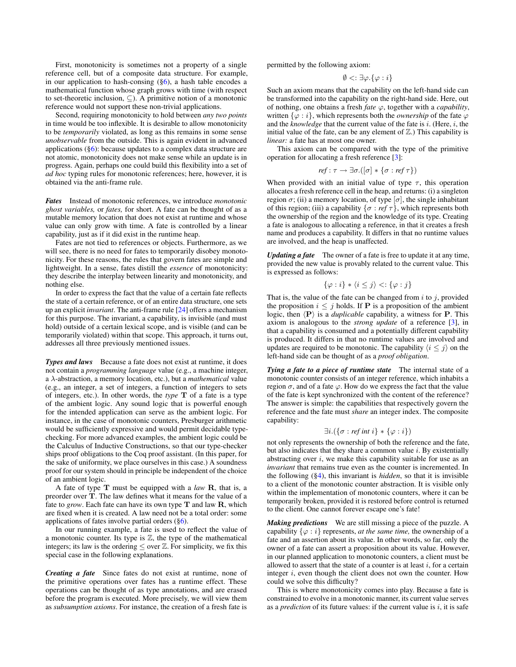First, monotonicity is sometimes not a property of a single reference cell, but of a composite data structure. For example, in our application to hash-consing  $(\S6)$ , a hash table encodes a mathematical function whose graph grows with time (with respect to set-theoretic inclusion, ⊆). A primitive notion of a monotonic reference would not support these non-trivial applications.

Second, requiring monotonicity to hold between *any two points* in time would be too inflexible. It is desirable to allow monotonicity to be *temporarily* violated, as long as this remains in some sense *unobservable* from the outside. This is again evident in advanced applications  $(\S6)$ : because updates to a complex data structure are not atomic, monotonicity does not make sense while an update is in progress. Again, perhaps one could build this flexibility into a set of *ad hoc* typing rules for monotonic references; here, however, it is obtained via the anti-frame rule.

*Fates* Instead of monotonic references, we introduce *monotonic ghost variables,* or *fates,* for short. A fate can be thought of as a mutable memory location that does not exist at runtime and whose value can only grow with time. A fate is controlled by a linear capability, just as if it did exist in the runtime heap.

Fates are not tied to references or objects. Furthermore, as we will see, there is no need for fates to temporarily disobey monotonicity. For these reasons, the rules that govern fates are simple and lightweight. In a sense, fates distill the *essence* of monotonicity: they describe the interplay between linearity and monotonicity, and nothing else.

In order to express the fact that the value of a certain fate reflects the state of a certain reference, or of an entire data structure, one sets up an explicit *invariant*. The anti-frame rule [\[24\]](#page-12-1) offers a mechanism for this purpose. The invariant, a capability, is invisible (and must hold) outside of a certain lexical scope, and is visible (and can be temporarily violated) within that scope. This approach, it turns out, addresses all three previously mentioned issues.

*Types and laws* Because a fate does not exist at runtime, it does not contain a *programming language* value (e.g., a machine integer, a λ-abstraction, a memory location, etc.), but a *mathematical* value (e.g., an integer, a set of integers, a function of integers to sets of integers, etc.). In other words, the *type* T of a fate is a type of the ambient logic. Any sound logic that is powerful enough for the intended application can serve as the ambient logic. For instance, in the case of monotonic counters, Presburger arithmetic would be sufficiently expressive and would permit decidable typechecking. For more advanced examples, the ambient logic could be the Calculus of Inductive Constructions, so that our type-checker ships proof obligations to the Coq proof assistant. (In this paper, for the sake of uniformity, we place ourselves in this case.) A soundness proof for our system should in principle be independent of the choice of an ambient logic.

A fate of type T must be equipped with a *law* R, that is, a preorder over T. The law defines what it means for the value of a fate to *grow*. Each fate can have its own type  $T$  and law  $R$ , which are fixed when it is created. A law need not be a total order: some applications of fates involve partial orders  $(\S6)$ .

In our running example, a fate is used to reflect the value of a monotonic counter. Its type is  $Z$ , the type of the mathematical integers; its law is the ordering  $\leq$  over  $\mathbb{Z}$ . For simplicity, we fix this special case in the following explanations.

*Creating a fate* Since fates do not exist at runtime, none of the primitive operations over fates has a runtime effect. These operations can be thought of as type annotations, and are erased before the program is executed. More precisely, we will view them as *subsumption axioms*. For instance, the creation of a fresh fate is

permitted by the following axiom:

$$
\emptyset < \exists \varphi . \{\varphi : i\}
$$

Such an axiom means that the capability on the left-hand side can be transformed into the capability on the right-hand side. Here, out of nothing, one obtains a fresh *fate*  $\varphi$ , together with a *capability*, written  $\{\varphi : i\}$ , which represents both the *ownership* of the fate  $\varphi$ and the *knowledge* that the current value of the fate is i. (Here, i, the initial value of the fate, can be any element of  $\mathbb{Z}$ .) This capability is *linear:* a fate has at most one owner.

This axiom can be compared with the type of the primitive operation for allocating a fresh reference [\[3\]](#page-11-0):

$$
ref: \tau \rightarrow \exists \sigma.([\sigma] * {\sigma : ref \tau})
$$

When provided with an initial value of type  $\tau$ , this operation allocates a fresh reference cell in the heap, and returns: (i) a singleton region  $\sigma$ ; (ii) a memory location, of type  $[\sigma]$ , the single inhabitant of this region; (iii) a capability  $\{\sigma : ref \tau\}$ , which represents both the ownership of the region and the knowledge of its type. Creating a fate is analogous to allocating a reference, in that it creates a fresh name and produces a capability. It differs in that no runtime values are involved, and the heap is unaffected.

*Updating a fate* The owner of a fate is free to update it at any time, provided the new value is provably related to the current value. This is expressed as follows:

$$
\{\varphi : i\} * \langle i \leq j \rangle < : \{\varphi : j\}
$$

That is, the value of the fate can be changed from  $i$  to  $j$ , provided the proposition  $i \leq j$  holds. If **P** is a proposition of the ambient logic, then  $\langle P \rangle$  is a *duplicable* capability, a witness for P. This axiom is analogous to the *strong update* of a reference [\[3\]](#page-11-0), in that a capability is consumed and a potentially different capability is produced. It differs in that no runtime values are involved and updates are required to be monotonic. The capability  $\langle i \leq j \rangle$  on the left-hand side can be thought of as a *proof obligation*.

*Tying a fate to a piece of runtime state* The internal state of a monotonic counter consists of an integer reference, which inhabits a region  $\sigma$ , and of a fate  $\varphi$ . How do we express the fact that the value of the fate is kept synchronized with the content of the reference? The answer is simple: the capabilities that respectively govern the reference and the fate must *share* an integer index. The composite capability:

$$
\exists i. (\{\sigma : \text{ref int } i\} * \{\varphi : i\})
$$

not only represents the ownership of both the reference and the fate, but also indicates that they share a common value  $i$ . By existentially abstracting over  $i$ , we make this capability suitable for use as an *invariant* that remains true even as the counter is incremented. In the following ([§4\)](#page-4-0), this invariant is *hidden*, so that it is invisible to a client of the monotonic counter abstraction. It is visible only within the implementation of monotonic counters, where it can be temporarily broken, provided it is restored before control is returned to the client. One cannot forever escape one's fate!

*Making predictions* We are still missing a piece of the puzzle. A capability  $\{\varphi : i\}$  represents, *at the same time*, the ownership of a fate and an assertion about its value. In other words, so far, only the owner of a fate can assert a proposition about its value. However, in our planned application to monotonic counters, a client must be allowed to assert that the state of a counter is at least  $i$ , for a certain integer  $i$ , even though the client does not own the counter. How could we solve this difficulty?

This is where monotonicity comes into play. Because a fate is constrained to evolve in a monotonic manner, its current value serves as a *prediction* of its future values: if the current value is  $i$ , it is safe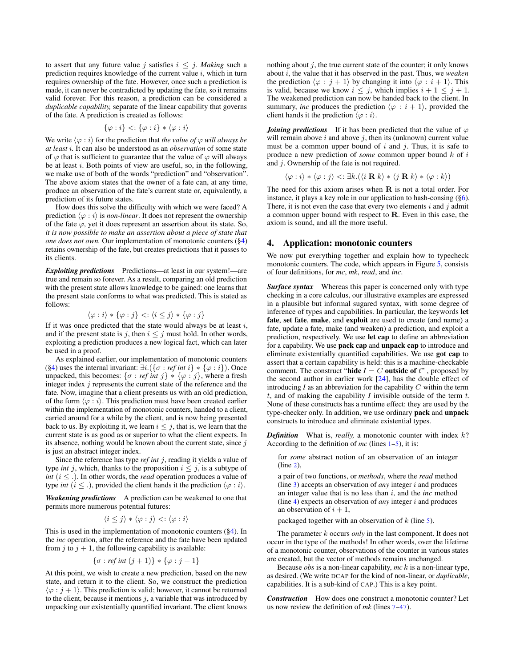to assert that any future value j satisfies  $i \leq j$ . *Making* such a prediction requires knowledge of the current value  $i$ , which in turn requires ownership of the fate. However, once such a prediction is made, it can never be contradicted by updating the fate, so it remains valid forever. For this reason, a prediction can be considered a *duplicable capability,* separate of the linear capability that governs of the fate. A prediction is created as follows:

$$
\{\varphi : i\} < : \{\varphi : i\} * \langle \varphi : i\rangle
$$

We write  $\langle \varphi : i \rangle$  for the prediction that *the value of*  $\varphi$  *will always be at least* i*.* It can also be understood as an *observation* of some state of  $\varphi$  that is sufficient to guarantee that the value of  $\varphi$  will always be at least  $i$ . Both points of view are useful, so, in the following, we make use of both of the words "prediction" and "observation". The above axiom states that the owner of a fate can, at any time, produce an observation of the fate's current state or, equivalently, a prediction of its future states.

How does this solve the difficulty with which we were faced? A prediction  $\langle \varphi : i \rangle$  is *non-linear*. It does not represent the ownership of the fate  $\varphi$ , yet it does represent an assertion about its state. So, *it is now possible to make an assertion about a piece of state that one does not own.* Our implementation of monotonic counters ([§4\)](#page-4-0) retains ownership of the fate, but creates predictions that it passes to its clients.

*Exploiting predictions* Predictions—at least in our system!—are true and remain so forever. As a result, comparing an old prediction with the present state allows knowledge to be gained: one learns that the present state conforms to what was predicted. This is stated as follows:

$$
\langle \varphi : i \rangle * \{ \varphi : j \} \langle i \leq j \rangle * \{ \varphi : j \}
$$

If it was once predicted that the state would always be at least  $i$ , and if the present state is j, then  $i \leq j$  must hold. In other words, exploiting a prediction produces a new logical fact, which can later be used in a proof.

As explained earlier, our implementation of monotonic counters ([§4\)](#page-4-0) uses the internal invariant:  $\exists i.({\{\sigma : ref \text{ int } i\} * {\{\varphi : i\}}).$  Once unpacked, this becomes:  $\{\sigma : ref \text{ int } j\} * \{\varphi : j\}$ , where a fresh integer index  $j$  represents the current state of the reference and the fate. Now, imagine that a client presents us with an old prediction, of the form  $\langle \varphi : i \rangle$ . This prediction must have been created earlier within the implementation of monotonic counters, handed to a client, carried around for a while by the client, and is now being presented back to us. By exploiting it, we learn  $i \leq j$ , that is, we learn that the current state is as good as or superior to what the client expects. In its absence, nothing would be known about the current state, since  $j$ is just an abstract integer index.

Since the reference has type *ref int j*, reading it yields a value of type *int* j, which, thanks to the proposition  $i \leq j$ , is a subtype of *int* ( $i \leq$ .). In other words, the *read* operation produces a value of type *int* ( $i \leq$ .), provided the client hands it the prediction  $\langle \varphi : i \rangle$ .

*Weakening predictions* A prediction can be weakened to one that permits more numerous potential futures:

$$
\langle i \leq j \rangle * \langle \varphi : j \rangle \langle \varphi : i \rangle
$$

This is used in the implementation of monotonic counters ([§4\)](#page-4-0). In the *inc* operation, after the reference and the fate have been updated from  $j$  to  $j + 1$ , the following capability is available:

$$
\{\sigma : ref\ int\ (j+1)\} * \{\varphi : j+1\}
$$

At this point, we wish to create a new prediction, based on the new state, and return it to the client. So, we construct the prediction  $\langle \varphi : j + 1 \rangle$ . This prediction is valid; however, it cannot be returned to the client, because it mentions  $j$ , a variable that was introduced by unpacking our existentially quantified invariant. The client knows nothing about  $j$ , the true current state of the counter; it only knows about i, the value that it has observed in the past. Thus, we *weaken* the prediction  $\langle \varphi : j + 1 \rangle$  by changing it into  $\langle \varphi : i + 1 \rangle$ . This is valid, because we know  $i \leq j$ , which implies  $i + 1 \leq j + 1$ . The weakened prediction can now be handed back to the client. In summary, *inc* produces the prediction  $\langle \varphi : i + 1 \rangle$ , provided the client hands it the prediction  $\langle \varphi : i \rangle$ .

*Joining predictions* If it has been predicted that the value of  $\varphi$ will remain above  $i$  and above  $j$ , then its (unknown) current value must be a common upper bound of  $i$  and  $j$ . Thus, it is safe to produce a new prediction of *some* common upper bound k of i and  $j$ . Ownership of the fate is not required.

$$
\langle \varphi : i \rangle * \langle \varphi : j \rangle \langle : \exists k. (\langle i \mathbf{R} k \rangle * \langle j \mathbf{R} k \rangle * \langle \varphi : k \rangle)
$$

The need for this axiom arises when  $R$  is not a total order. For instance, it plays a key role in our application to hash-consing  $(\S6)$ . There, it is not even the case that every two elements  $i$  and  $j$  admit a common upper bound with respect to  $\bf{R}$ . Even in this case, the axiom is sound, and all the more useful.

### <span id="page-4-0"></span>4. Application: monotonic counters

We now put everything together and explain how to typecheck monotonic counters. The code, which appears in Figure [5,](#page-5-0) consists of four definitions, for *mc*, *mk*, *read*, and *inc*.

*Surface syntax* Whereas this paper is concerned only with type checking in a core calculus, our illustrative examples are expressed in a plausible but informal sugared syntax, with some degree of inference of types and capabilities. In particular, the keywords let fate, set fate, make, and exploit are used to create (and name) a fate, update a fate, make (and weaken) a prediction, and exploit a prediction, respectively. We use let cap to define an abbreviation for a capability. We use pack cap and unpack cap to introduce and eliminate existentially quantified capabilities. We use got cap to assert that a certain capability is held: this is a machine-checkable comment. The construct "**hide**  $I = C$  **outside of** t", proposed by the second author in earlier work [\[24\]](#page-12-1), has the double effect of introducing  $I$  as an abbreviation for the capability  $C$  within the term t, and of making the capability *I* invisible outside of the term t. None of these constructs has a runtime effect: they are used by the type-checker only. In addition, we use ordinary pack and unpack constructs to introduce and eliminate existential types.

**Definition** What is, *really*, a monotonic counter with index  $k$ ? According to the definition of *mc* (lines [1–](#page-5-1)[5](#page-5-2)), it is:

for *some* abstract notion of an observation of an integer (line [2](#page-5-3)),

a pair of two functions, or *methods*, where the *read* method (line [3](#page-5-4)) accepts an observation of *any* integer i and produces an integer value that is no less than i, and the *inc* method (line [4](#page-5-5)) expects an observation of *any* integer i and produces an observation of  $i + 1$ ,

packaged together with an observation of  $k$  (line [5](#page-5-2)).

The parameter k occurs *only* in the last component. It does not occur in the type of the methods! In other words, over the lifetime of a monotonic counter, observations of the counter in various states are created, but the vector of methods remains unchanged.

Because *obs* is a non-linear capability, *mc* k is a non-linear type, as desired. (We write DCAP for the kind of non-linear, or *duplicable*, capabilities. It is a sub-kind of CAP.) This is a key point.

*Construction* How does one construct a monotonic counter? Let us now review the definition of *mk* (lines [7–](#page-5-6)[47](#page-5-7)).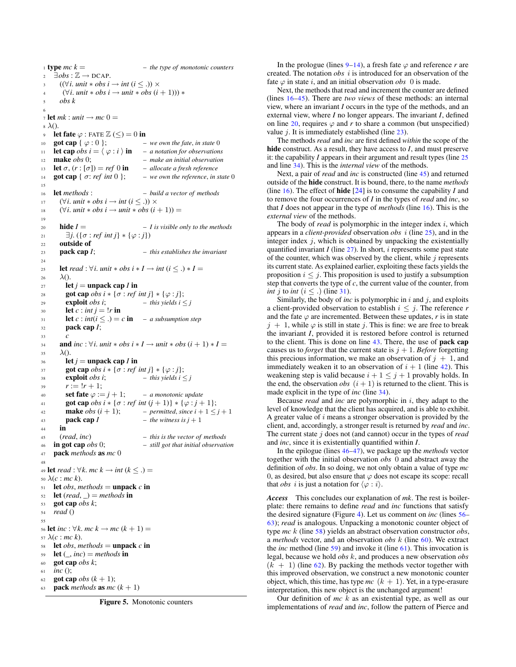<span id="page-5-16"></span><span id="page-5-14"></span><span id="page-5-13"></span><span id="page-5-12"></span><span id="page-5-10"></span><span id="page-5-9"></span><span id="page-5-8"></span><span id="page-5-6"></span><span id="page-5-5"></span><span id="page-5-4"></span><span id="page-5-3"></span><span id="page-5-2"></span><span id="page-5-1"></span>**type**  $mc \, k =$  – the type of monotonic counters  $∃obs : \mathbb{Z} → DCAP.$  $((\forall i. \text{ unit} * obs i \rightarrow int (i \le .)) \times$  $(\forall i. \text{ unit} * obs \text{ } i \rightarrow \text{unit} * obs \text{ } (i + 1))) *$ <sup>5</sup> *obs k* 6  $\tau$  **let**  $mk$  :  $unit \rightarrow mc$   $0 =$  $\delta$   $\lambda$ (). 9 let fate  $\varphi$  : FATE  $\mathbb{Z}$  ( $\leq$ ) = 0 in **got cap**  $\{\varphi: 0\}$ ; – *we own the fate, in state* 0 **let cap** *obs*  $i = \langle \varphi : i \rangle$  **in** – *a notation for observations*  make *obs* 0; – *make an initial observation* let σ, (*r* : [σ]) = *ref* 0 in – *allocate a fresh reference* **got cap**  $\{\sigma: ref \text{ int } 0\};$  – we own the reference, in state 0 15 let *methods* : – *build a vector of methods* 17 (∀*i*. *unit*  $*$  *obs i* → *int* (*i* ≤ .)) ×  $(\forall i. \text{unit} * obs \text{ } i \rightarrow \text{unit} * obs \text{ } (i + 1)) =$ 19 hide *I* = – *I is visible only to the methods*  $\exists j. (\{\sigma : ref \ int j\} * \{\varphi : j\})$  outside of pack cap *I*; – *this establishes the invariant* 24 **let** read :  $\forall i$ . *unit*  $*$  *obs*  $i * I \rightarrow int$  ( $i \leq .$ )  $* I =$  $_{26} \lambda()$ . let  $j =$  unpack cap *I* in 28 got cap  $obs i * {\sigma : ref int j} * {\phi : j};$ **exploit** *obs i*;  $-$  *this yields i*  $\leq j$ **let** *c* : *int*  $j = !r$  in **let**  $c : \text{int}(i \leq .) = c \text{ in } -a \text{ subsumption step}$  pack cap *I*; <sup>33</sup> *c* 34 and  $inc : \forall i$ . *unit*  $* obs i * I \rightarrow unit * obs (i + 1) * I =$  $35 \lambda()$ . let  $j =$ **unpack cap** *I* in **got cap**  $obs i * {\sigma : ref int j} * {\phi : j};$ **exploit** *obs i*;  $-$  *this yields i*  $\lt j$  $r := |r + 1;$ **set fate**  $\varphi := j + 1$ ; – *a monotonic update* **got cap** *obs i*  $*(\sigma : ref \text{ int } (j + 1)) * {\varphi : j + 1};$ **make** *obs*  $(i + 1)$ ; – *permitted*, *since*  $i + 1 \leq j + 1$ **pack cap** *I*  $-$  *the witness is*  $j + 1$ <sup>44</sup> in (*read*, *inc*) – *this is the vector of methods* in got cap *obs* 0; – *still got that initial observation* pack *methods* as *mc* 0 48 let *read* : ∀*k*. *mc k* → *int* (*k* ≤ .) = λ(*c* : *mc k*). let *obs*, *methods* = **unpack** *c* in **let** (*read*,  $\Box$ ) = *methods* in got cap *obs k*; <sup>54</sup> *read* () 55 **let** *inc* :  $\forall k$ *. mc*  $k \rightarrow mc$   $(k + 1) =$  λ(*c* : *mc k*). 58 let *obs*, *methods* = **unpack**  $c$  **in let**  $(\_$ *, inc* $) =$  *methods* in got cap *obs k*; <sup>61</sup> *inc* (); **got cap** *obs*  $(k + 1)$ ; **pack** *methods* **as**  $mc (k + 1)$ 

<span id="page-5-27"></span><span id="page-5-26"></span><span id="page-5-25"></span><span id="page-5-24"></span><span id="page-5-23"></span><span id="page-5-22"></span><span id="page-5-21"></span><span id="page-5-20"></span><span id="page-5-19"></span><span id="page-5-18"></span><span id="page-5-11"></span><span id="page-5-7"></span><span id="page-5-0"></span>Figure 5. Monotonic counters

In the prologue (lines  $9-14$  $9-14$ ), a fresh fate  $\varphi$  and reference *r* are created. The notation *obs* i is introduced for an observation of the fate  $\varphi$  in state *i*, and an initial observation *obs* 0 is made.

Next, the methods that read and increment the counter are defined (lines [16](#page-5-10)[–45](#page-5-11)). There are *two views* of these methods: an internal view, where an invariant *I* occurs in the type of the methods, and an external view, where *I* no longer appears. The invariant *I*, defined on line [20](#page-5-12), requires  $\varphi$  and *r* to share a common (but unspecified) value  $j$ . It is immediately established (line  $23$ ).

The methods *read* and *inc* are first defined *within* the scope of the hide construct. As a result, they have access to *I*, and must preserve it: the capability *I* appears in their argument and result types (line [25](#page-5-14) and line [34](#page-5-15)). This is the *internal view* of the methods.

Next, a pair of *read* and *inc* is constructed (line [45](#page-5-11)) and returned outside of the hide construct. It is bound, there, to the name *methods* (line [16](#page-5-10)). The effect of hide [\[24\]](#page-12-1) is to consume the capability *I* and to remove the four occurrences of *I* in the types of *read* and *inc*, so that *I* does not appear in the type of *methods* (line [16](#page-5-10)). This is the *external view* of the methods.

The body of *read* is polymorphic in the integer index i, which appears in a *client-provided* observation *obs* i (line [25](#page-5-14)), and in the integer index  $j$ , which is obtained by unpacking the existentially quantified invariant  $I$  (line  $27$ ). In short,  $i$  represents some past state of the counter, which was observed by the client, while  $j$  represents its current state. As explained earlier, exploiting these facts yields the proposition  $i \leq j$ . This proposition is used to justify a subsumption step that converts the type of *c*, the current value of the counter, from *int j* to *int* ( $i \leq$  .) (line [31](#page-5-17)).

<span id="page-5-17"></span><span id="page-5-15"></span>Similarly, the body of *inc* is polymorphic in  $i$  and  $j$ , and exploits a client-provided observation to establish  $i \leq j$ . The reference *r* and the fate  $\varphi$  are incremented. Between these updates, *r* is in state  $j + 1$ , while  $\varphi$  is still in state j. This is fine: we are free to break the invariant *I*, provided it is restored before control is returned to the client. This is done on line [43](#page-5-18). There, the use of pack cap causes us to *forget* that the current state is  $j + 1$ . *Before* forgetting this precious information, we make an observation of  $j + 1$ , and immediately weaken it to an observation of  $i + 1$  (line [42](#page-5-19)). This weakening step is valid because  $i + 1 \leq j + 1$  provably holds. In the end, the observation *obs*  $(i + 1)$  is returned to the client. This is made explicit in the type of *inc* (line [34](#page-5-15)).

Because *read* and *inc* are polymorphic in i, they adapt to the level of knowledge that the client has acquired, and is able to exhibit. A greater value of  $i$  means a stronger observation is provided by the client, and, accordingly, a stronger result is returned by *read* and *inc*. The current state j does not (and cannot) occur in the types of *read* and *inc*, since it is existentially quantified within *I*.

In the epilogue (lines [46–](#page-5-20)[47](#page-5-7)), we package up the *methods* vector together with the initial observation *obs* 0 and abstract away the definition of *obs*. In so doing, we not only obtain a value of type *mc* 0, as desired, but also ensure that  $\varphi$  does not escape its scope: recall that *obs* i is just a notation for  $\langle \varphi : i \rangle$ .

*Access* This concludes our explanation of *mk*. The rest is boilerplate: there remains to define *read* and *inc* functions that satisfy the desired signature (Figure [4\)](#page-1-2). Let us comment on *inc* (lines [56–](#page-5-21) [63](#page-5-22)); *read* is analogous. Unpacking a monotonic counter object of type *mc* k (line [58](#page-5-23)) yields an abstract observation constructor *obs*, a *methods* vector, and an observation *obs* k (line [60](#page-5-24)). We extract the *inc* method (line [59](#page-5-25)) and invoke it (line [61](#page-5-26)). This invocation is legal, because we hold *obs* k, and produces a new observation *obs*  $(k + 1)$  (line [62](#page-5-27)). By packing the methods vector together with this improved observation, we construct a new monotonic counter object, which, this time, has type  $mc (k + 1)$ . Yet, in a type-erasure interpretation, this new object is the unchanged argument!

Our definition of *mc* k as an existential type, as well as our implementations of *read* and *inc*, follow the pattern of Pierce and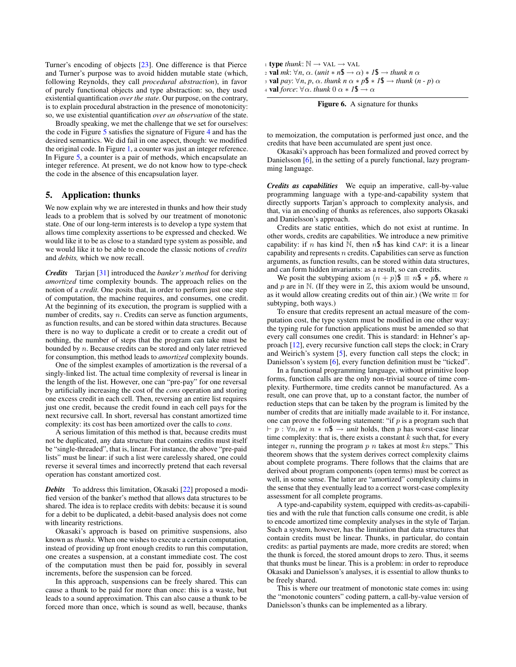Turner's encoding of objects [\[23\]](#page-12-5). One difference is that Pierce and Turner's purpose was to avoid hidden mutable state (which, following Reynolds, they call *procedural abstraction*), in favor of purely functional objects and type abstraction: so, they used existential quantification *over the state*. Our purpose, on the contrary, is to explain procedural abstraction in the presence of monotonicity: so, we use existential quantification *over an observation* of the state.

Broadly speaking, we met the challenge that we set for ourselves: the code in Figure [5](#page-5-0) satisfies the signature of Figure [4](#page-1-2) and has the desired semantics. We did fail in one aspect, though: we modified the original code. In Figure [1,](#page-1-1) a counter was just an integer reference. In Figure [5,](#page-5-0) a counter is a pair of methods, which encapsulate an integer reference. At present, we do not know how to type-check the code in the absence of this encapsulation layer.

## <span id="page-6-0"></span>5. Application: thunks

We now explain why we are interested in thunks and how their study leads to a problem that is solved by our treatment of monotonic state. One of our long-term interests is to develop a type system that allows time complexity assertions to be expressed and checked. We would like it to be as close to a standard type system as possible, and we would like it to be able to encode the classic notions of *credits* and *debits,* which we now recall.

*Credits* Tarjan [\[31\]](#page-12-6) introduced the *banker's method* for deriving *amortized* time complexity bounds. The approach relies on the notion of a *credit.* One posits that, in order to perform just one step of computation, the machine requires, and consumes, one credit. At the beginning of its execution, the program is supplied with a number of credits, say *n*. Credits can serve as function arguments, as function results, and can be stored within data structures. Because there is no way to duplicate a credit or to create a credit out of nothing, the number of steps that the program can take must be bounded by n. Because credits can be stored and only later retrieved for consumption, this method leads to *amortized* complexity bounds.

One of the simplest examples of amortization is the reversal of a singly-linked list. The actual time complexity of reversal is linear in the length of the list. However, one can "pre-pay" for one reversal by artificially increasing the cost of the *cons* operation and storing one excess credit in each cell. Then, reversing an entire list requires just one credit, because the credit found in each cell pays for the next recursive call. In short, reversal has constant amortized time complexity: its cost has been amortized over the calls to *cons*.

A serious limitation of this method is that, because credits must not be duplicated, any data structure that contains credits must itself be "single-threaded", that is, linear. For instance, the above "pre-paid lists" must be linear: if such a list were carelessly shared, one could reverse it several times and incorrectly pretend that each reversal operation has constant amortized cost.

*Debits* To address this limitation, Okasaki [\[22\]](#page-12-7) proposed a modified version of the banker's method that allows data structures to be shared. The idea is to replace credits with debits: because it is sound for a debit to be duplicated, a debit-based analysis does not come with linearity restrictions.

Okasaki's approach is based on primitive suspensions, also known as *thunks.* When one wishes to execute a certain computation, instead of providing up front enough credits to run this computation, one creates a suspension, at a constant immediate cost. The cost of the computation must then be paid for, possibly in several increments, before the suspension can be forced.

In this approach, suspensions can be freely shared. This can cause a thunk to be paid for more than once: this is a waste, but leads to a sound approximation. This can also cause a thunk to be forced more than once, which is sound as well, because, thanks

- $_1$  type *thunk*:  $\mathbb{N} \rightarrow \text{VAL} \rightarrow \text{VAL}$
- <span id="page-6-2"></span>2 **val**  $mk: \forall n, \alpha$ . (*unit*  $* n\$\rightarrow \alpha$ )  $* 1\$\rightarrow thunk n \alpha$
- <span id="page-6-3"></span> $3$  val *pay*: ∀*n*, *p*,  $\alpha$ . *thunk n*  $\alpha * p$ \$  $*$  *I*\$ → *thunk* (*n* - *p*)  $\alpha$
- <span id="page-6-5"></span><span id="page-6-4"></span><sup>4</sup> val *force*: ∀α. *thunk* 0 α ∗ *1*\$ → α

<span id="page-6-1"></span>

to memoization, the computation is performed just once, and the credits that have been accumulated are spent just once.

Okasaki's approach has been formalized and proved correct by Danielsson [\[6\]](#page-12-2), in the setting of a purely functional, lazy programming language.

*Credits as capabilities* We equip an imperative, call-by-value programming language with a type-and-capability system that directly supports Tarjan's approach to complexity analysis, and that, via an encoding of thunks as references, also supports Okasaki and Danielsson's approach.

Credits are static entities, which do not exist at runtime. In other words, credits are capabilities. We introduce a new primitive capability: if n has kind  $\overline{N}$ , then  $n\$  has kind CAP: it is a linear capability and represents  $n$  credits. Capabilities can serve as function arguments, as function results, can be stored within data structures, and can form hidden invariants: as a result, so can credits.

We posit the subtyping axiom  $(n + p)\$ \$  $\equiv n$ \$ \* p\$, where n and  $p$  are in N. (If they were in  $\mathbb{Z}$ , this axiom would be unsound, as it would allow creating credits out of thin air.) (We write  $\equiv$  for subtyping, both ways.)

To ensure that credits represent an actual measure of the computation cost, the type system must be modified in one other way: the typing rule for function applications must be amended so that every call consumes one credit. This is standard: in Hehner's approach [\[12\]](#page-12-8), every recursive function call steps the clock; in Crary and Weirich's system [\[5\]](#page-11-2), every function call steps the clock; in Danielsson's system [\[6\]](#page-12-2), every function definition must be "ticked".

In a functional programming language, without primitive loop forms, function calls are the only non-trivial source of time complexity. Furthermore, time credits cannot be manufactured. As a result, one can prove that, up to a constant factor, the number of reduction steps that can be taken by the program is limited by the number of credits that are initially made available to it. For instance, one can prove the following statement: "if  $p$  is a program such that  $\vdash p : \forall n, int \; n * n\$   $\rightarrow unit$  holds, then p has worst-case linear time complexity: that is, there exists a constant  $k$  such that, for every integer *n*, running the program  $p$  *n* takes at most  $kn$  steps." This theorem shows that the system derives correct complexity claims about complete programs. There follows that the claims that are derived about program components (open terms) must be correct as well, in some sense. The latter are "amortized" complexity claims in the sense that they eventually lead to a correct worst-case complexity assessment for all complete programs.

A type-and-capability system, equipped with credits-as-capabilities and with the rule that function calls consume one credit, is able to encode amortized time complexity analyses in the style of Tarjan. Such a system, however, has the limitation that data structures that contain credits must be linear. Thunks, in particular, do contain credits: as partial payments are made, more credits are stored; when the thunk is forced, the stored amount drops to zero. Thus, it seems that thunks must be linear. This is a problem: in order to reproduce Okasaki and Danielsson's analyses, it is essential to allow thunks to be freely shared.

This is where our treatment of monotonic state comes in: using the "monotonic counters" coding pattern, a call-by-value version of Danielsson's thunks can be implemented as a library.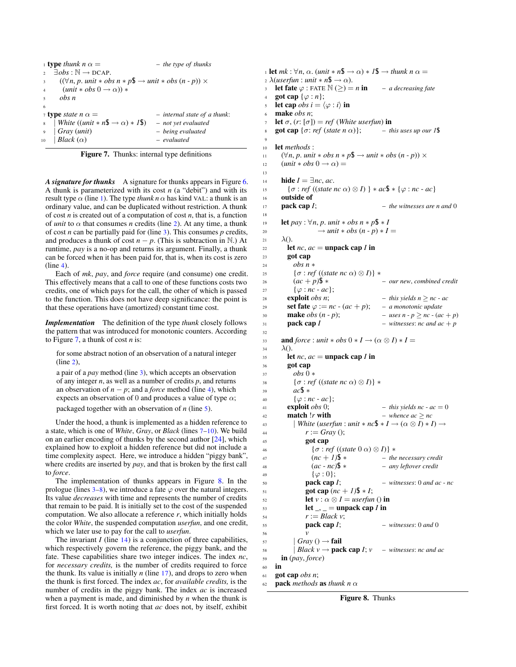```
1 type thunk n \alpha = – the type of thunks
    \exists obs : \mathbb{N} \rightarrow \text{DCAP}.((\forall n, p. \text{ unit} * obs n * p\$\rightarrow unit * obs (n - p)) \times4 (\text{unit} * \text{obs} \space 0 \rightarrow \alpha)) *5 obs n
 6
\tau type state n \alpha = – internal state of a thunk:
8 | White ((unit * n\$\rightarrow \alpha) * l\$\) – not yet evaluated
      9 | Gray (unit) – being evaluated
10 \quad | Black(\alpha) – evaluated
```
<span id="page-7-5"></span><span id="page-7-0"></span>

|  |  |  |  | Figure 7. Thunks: internal type definitions |
|--|--|--|--|---------------------------------------------|
|--|--|--|--|---------------------------------------------|

<span id="page-7-6"></span>A signature for thunks A signature for thunks appears in Figure [6.](#page-6-1) A thunk is parameterized with its cost *n* (a "debit") and with its result type  $\alpha$  (line [1](#page-6-2)). The type *thunk n*  $\alpha$  has kind VAL: a thunk is an ordinary value, and can be duplicated without restriction. A thunk of cost *n* is created out of a computation of cost *n*, that is, a function of *unit* to  $\alpha$  that consumes *n* credits (line [2](#page-6-3)). At any time, a thunk of cost *n* can be partially paid for (line [3](#page-6-4)). This consumes *p* credits, and produces a thunk of cost  $n - p$ . (This is subtraction in N.) At runtime, *pay* is a no-op and returns its argument. Finally, a thunk can be forced when it has been paid for, that is, when its cost is zero (line [4](#page-6-5)).

Each of *mk*, *pay*, and *force* require (and consume) one credit. This effectively means that a call to one of these functions costs two credits, one of which pays for the call, the other of which is passed to the function. This does not have deep significance: the point is that these operations have (amortized) constant time cost.

*Implementation* The definition of the type *thunk* closely follows the pattern that was introduced for monotonic counters. According to Figure [7,](#page-7-0) a thunk of cost *n* is:

<span id="page-7-16"></span><span id="page-7-15"></span><span id="page-7-13"></span>for some abstract notion of an observation of a natural integer (line [2](#page-7-1)),

<span id="page-7-17"></span>a pair of a *pay* method (line [3](#page-7-2)), which accepts an observation of any integer *n*, as well as a number of credits *p*, and returns an observation of  $n - p$ ; and a *force* method (line [4](#page-7-3)), which expects an observation of 0 and produces a value of type  $\alpha$ ; packaged together with an observation of *n* (line [5](#page-7-4)).

Under the hood, a thunk is implemented as a hidden reference to a state, which is one of *White*, *Gray*, or *Black* (lines [7](#page-7-5)[–10](#page-7-6)). We build on an earlier encoding of thunks by the second author [\[24\]](#page-12-1), which explained how to exploit a hidden reference but did not include a time complexity aspect. Here, we introduce a hidden "piggy bank", where credits are inserted by *pay*, and that is broken by the first call to *force*.

The implementation of thunks appears in Figure [8.](#page-7-7) In the prologue (lines  $3-8$  $3-8$ ), we introduce a fate  $\varphi$  over the natural integers. Its value *decreases* with time and represents the number of credits that remain to be paid. It is initially set to the cost of the suspended computation. We also allocate a reference *r*, which initially holds the color *White*, the suspended computation *userfun*, and one credit, which we later use to pay for the call to *userfun*.

The invariant *I* (line [14](#page-7-10)) is a conjunction of three capabilities, which respectively govern the reference, the piggy bank, and the fate. These capabilities share two integer indices. The index *nc*, for *necessary credits,* is the number of credits required to force the thunk. Its value is initially *n* (line [17](#page-7-11)), and drops to zero when the thunk is first forced. The index *ac*, for *available credits,* is the number of credits in the piggy bank. The index *ac* is increased when a payment is made, and diminished by *n* when the thunk is first forced. It is worth noting that *ac* does not, by itself, exhibit

```
1 let mk : \forall n, \alpha. (unit * n\$\rightarrow \alpha) * 1\$\rightarrow thunk n \alpha =2 \lambda(userfun : unit * n\mathbb{S} \rightarrow \alpha).
 3 let fate \varphi : FATE \mathbb{N} (\geq) = n in – a decreasing fate
 4 got cap \{\varphi : n\};5 let cap obs i = \langle \varphi : i \rangle in
 6 make obs n;
    let \sigma, (r: [\sigma]) = ref (White userfun) in
 8 got cap {σ: ref (state n α)}; – this uses up our 1$
 \circ10 let methods :
11 (∀n, p. unit * obs n * p$ → unit * obs (n - p)) \times12 (\text{unit} * \text{obs} \space 0 \rightarrow \alpha) =13
14 hide I = \exists nc, ac.
15 {\lbrace \sigma : ref \ ((state \ nc \ \alpha) \otimes I) \ \rbrace * ac \mathsf{S} * {\lbrace \varphi : nc - ac \rbrace \
16 outside of
17 pack cap I; – the witnesses are n and 0
18
19 let pay : ∀n, p. unit ∗ obs n ∗ p$ ∗ I
20 \longrightarrow unit * obs (n - p) * I =_{21} \lambda().
22 let nc, ac =unpack cap I in
23 got cap
24 obs n ∗
25 \{\sigma : ref((state\ n\alpha) \otimes I)\} *26 (ac + p)$ ∗ – our new, combined credit
27 \{\varphi : nc - ac\};exploit obs n; – this yields n \geq nc - ac29 set fate \varphi := nc \cdot (ac + p); – a monotonic update<br>30 make obs (n - p); – uses n - p \ge nc \cdot (ac + p)30 make obs (n - p); – uses n - p \ge nc - (ac + p)_{31} pack cap I – witnesses: nc and ac + p
32
33 and force : unit * obs 0 * I \rightarrow (\alpha \otimes I) * I =34 \lambda().
35 let nc, ac = unpack cap I in
36 got cap
37 obs 0 ∗
38 \{\sigma : ref\ ((state\ nc\ \alpha) \otimes I)\} *39 ac$ ∗
40 \{\varphi : nc - ac\};41 exploit obs 0; - this yields nc - ac = 0<br>42 match !r with - whence ac \geq nc42 match !r with – whence ac \geq nc43 \qquad \qquad | \text{ White (userfun : unit } * n \text{c} \text{S} * I \rightarrow (\alpha \otimes I) * I) \rightarrow44 r := Gray();
45 got cap
46 \{\sigma : \text{ref } ((\text{state } 0 \alpha) \otimes I) \} *47 (nc + 1)$ ∗ – the necessary credit
48 (ac - nc)$ ∗ – any leftover credit
49 \{\varphi:0\};50 pack cap I; – witnesses: 0 and ac - nc
51 got cap (nc + 1)\$ * I;52 let v : \alpha \otimes I = \text{userfun} () in
153 let \Delta, \Delta = unpack cap I in
r := Black v;55 pack cap I; – witnesses: 0 and 0
56 v
57 | Gray () \rightarrow fail
58 | Black\ v \rightarrow pack\ cap\ I; v - witnesses: nc\ and\ ac59 in (pay, force)
60 in
61 got cap obs n;
62 pack methods as thunk n \alpha
```
<span id="page-7-7"></span>Figure 8. Thunks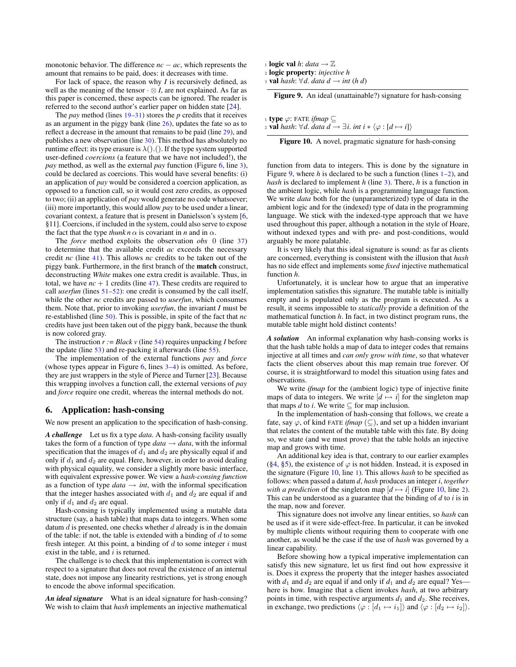monotonic behavior. The difference *nc* − *ac*, which represents the amount that remains to be paid, does: it decreases with time.

For lack of space, the reason why *I* is recursively defined, as well as the meaning of the tensor  $\cdot \otimes I$ , are not explained. As far as this paper is concerned, these aspects can be ignored. The reader is referred to the second author's earlier paper on hidden state [\[24\]](#page-12-1).

The *pay* method (lines [19](#page-7-12)[–31](#page-7-13)) stores the *p* credits that it receives as an argument in the piggy bank (line [26](#page-7-14)), updates the fate so as to reflect a decrease in the amount that remains to be paid (line [29](#page-7-15)), and publishes a new observation (line [30](#page-7-16)). This method has absolutely no runtime effect: its type erasure is  $\lambda(.)$ . If the type system supported user-defined *coercions* (a feature that we have not included!), the *pay* method, as well as the external *pay* function (Figure [6,](#page-6-1) line [3](#page-6-4)), could be declared as coercions. This would have several benefits: (i) an application of *pay* would be considered a coercion application, as opposed to a function call, so it would cost zero credits, as opposed to two; (ii) an application of *pay* would generate no code whatsoever; (iii) more importantly, this would allow *pay* to be used under a linear, covariant context, a feature that is present in Danielsson's system [\[6,](#page-12-2) §11]. Coercions, if included in the system, could also serve to expose the fact that the type *thunk n*  $\alpha$  is covariant in *n* and in  $\alpha$ .

The *force* method exploits the observation *obs* 0 (line [37](#page-7-17)) to determine that the available credit *ac* exceeds the necessary credit *nc* (line [41](#page-7-18)). This allows *nc* credits to be taken out of the piggy bank. Furthermore, in the first branch of the match construct, deconstructing *White* makes one extra credit is available. Thus, in total, we have  $nc + 1$  credits (line [47](#page-7-19)). These credits are required to call *userfun* (lines [51](#page-7-20)[–52](#page-7-21)): one credit is consumed by the call itself, while the other *nc* credits are passed to *userfun*, which consumes them. Note that, prior to invoking *userfun*, the invariant *I* must be re-established (line [50](#page-7-22)). This is possible, in spite of the fact that *nc* credits have just been taken out of the piggy bank, because the thunk is now colored gray.

The instruction  $r := Black v$  (line [54](#page-7-23)) requires unpacking *I* before the update (line [53](#page-7-24)) and re-packing it afterwards (line [55](#page-7-25)).

The implementation of the external functions *pay* and *force* (whose types appear in Figure [6,](#page-6-1) lines [3](#page-6-4)[–4](#page-6-5)) is omitted. As before, they are just wrappers in the style of Pierce and Turner [\[23\]](#page-12-5). Because this wrapping involves a function call, the external versions of *pay* and *force* require one credit, whereas the internal methods do not.

## <span id="page-8-0"></span>6. Application: hash-consing

We now present an application to the specification of hash-consing.

*A challenge* Let us fix a type *data*. A hash-consing facility usually takes the form of a function of type  $data \rightarrow data$ , with the informal specification that the images of  $d_1$  and  $d_2$  are physically equal if and only if  $d_1$  and  $d_2$  are equal. Here, however, in order to avoid dealing with physical equality, we consider a slightly more basic interface, with equivalent expressive power. We view a *hash-consing function* as a function of type  $data \rightarrow int$ , with the informal specification that the integer hashes associated with  $d_1$  and  $d_2$  are equal if and only if  $d_1$  and  $d_2$  are equal.

Hash-consing is typically implemented using a mutable data structure (say, a hash table) that maps data to integers. When some datum  $d$  is presented, one checks whether  $d$  already is in the domain of the table: if not, the table is extended with a binding of  $d$  to some fresh integer. At this point, a binding of  $d$  to some integer  $i$  must exist in the table, and  $i$  is returned.

The challenge is to check that this implementation is correct with respect to a signature that does not reveal the existence of an internal state, does not impose any linearity restrictions, yet is strong enough to encode the above informal specification.

*An ideal signature* What is an ideal signature for hash-consing? We wish to claim that *hash* implements an injective mathematical

- 1 **logic val** *h*:  $data \rightarrow \mathbb{Z}$
- <span id="page-8-2"></span><sup>2</sup> logic property: *injective h*

<span id="page-8-4"></span><span id="page-8-3"></span><sup>3</sup> val *hash*: ∀*d*. *data d* → *int* (*h d*)

<span id="page-8-1"></span>Figure 9. An ideal (unattainable?) signature for hash-consing

<span id="page-8-7"></span><span id="page-8-6"></span><sup>1</sup> type ϕ: FATE *ifmap* ⊆ 2 val *hash*: ∀*d. data d* → ∃*i. int i* \*  $\langle \varphi : [d \mapsto i] \rangle$ 

<span id="page-8-5"></span>Figure 10. A novel, pragmatic signature for hash-consing

function from data to integers. This is done by the signature in Figure [9,](#page-8-1) where *h* is declared to be such a function (lines [1](#page-8-2)[–2](#page-8-3)), and *hash* is declared to implement *h* (line [3](#page-8-4)). There, *h* is a function in the ambient logic, while *hash* is a programming language function. We write *data* both for the (unparameterized) type of data in the ambient logic and for the (indexed) type of data in the programming language. We stick with the indexed-type approach that we have used throughout this paper, although a notation in the style of Hoare, without indexed types and with pre- and post-conditions, would arguably be more palatable.

It is very likely that this ideal signature is sound: as far as clients are concerned, everything is consistent with the illusion that *hash* has no side effect and implements some *fixed* injective mathematical function *h*.

Unfortunately, it is unclear how to argue that an imperative implementation satisfies this signature. The mutable table is initially empty and is populated only as the program is executed. As a result, it seems impossible to *statically* provide a definition of the mathematical function *h*. In fact, in two distinct program runs, the mutable table might hold distinct contents!

*A solution* An informal explanation why hash-consing works is that the hash table holds a map of data to integer codes that remains injective at all times and *can only grow with time*, so that whatever facts the client observes about this map remain true forever. Of course, it is straightforward to model this situation using fates and observations.

We write *ifmap* for the (ambient logic) type of injective finite maps of data to integers. We write  $[d \mapsto i]$  for the singleton map that maps *d* to *i*. We write  $\subseteq$  for map inclusion.

In the implementation of hash-consing that follows, we create a fate, say  $\varphi$ , of kind FATE *ifmap* ( $\subseteq$ ), and set up a hidden invariant that relates the content of the mutable table with this fate. By doing so, we state (and we must prove) that the table holds an injective map and grows with time.

An additional key idea is that, contrary to our earlier examples ([§4,](#page-4-0) [§5\)](#page-6-0), the existence of  $\varphi$  is not hidden. Instead, it is exposed in the signature (Figure [10,](#page-8-5) line [1](#page-8-6)). This allows *hash* to be specified as follows: when passed a datum *d*, *hash* produces an integer *i*, *together with a prediction* of the singleton map  $[d \mapsto i]$  (Figure [10,](#page-8-5) line [2](#page-8-7)). This can be understood as a guarantee that the binding of *d* to *i* is in the map, now and forever.

This signature does not involve any linear entities, so *hash* can be used as if it were side-effect-free. In particular, it can be invoked by multiple clients without requiring them to cooperate with one another, as would be the case if the use of *hash* was governed by a linear capability.

Before showing how a typical imperative implementation can satisfy this new signature, let us first find out how expressive it is. Does it express the property that the integer hashes associated with  $d_1$  and  $d_2$  are equal if and only if  $d_1$  and  $d_2$  are equal? Yes here is how. Imagine that a client invokes *hash*, at two arbitrary points in time, with respective arguments  $d_1$  and  $d_2$ . She receives, in exchange, two predictions  $\langle \varphi : [d_1 \mapsto i_1] \rangle$  and  $\langle \varphi : [d_2 \mapsto i_2] \rangle$ .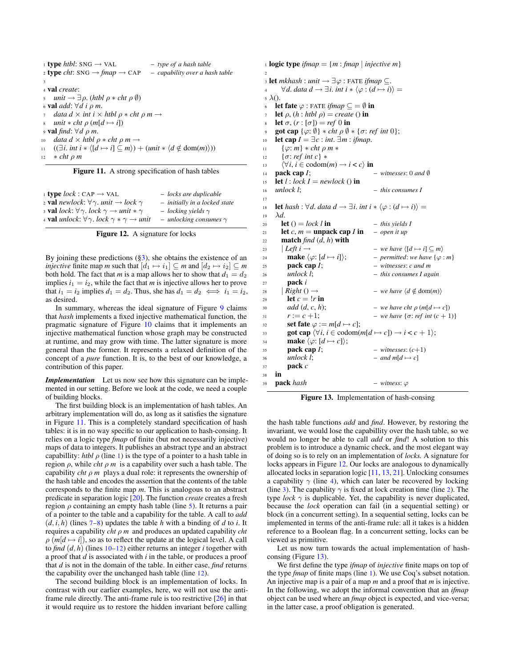<span id="page-9-3"></span><span id="page-9-2"></span><span id="page-9-1"></span> type *htbl*: SNG → VAL – *type of a hash table* **type** *cht*: SNG  $\rightarrow$  *fmap*  $\rightarrow$  CAP – *capability over a hash table* 3 val *create*: *unit* → ∃ρ. (*htbl* ρ ∗ *cht* ρ ∅) val *add*: ∀*d i* ρ *m*. *data d*  $\times$  *int i*  $\times$  *htbl*  $\rho * c$ *ht*  $\rho$  *m*  $\rightarrow$ *s unit*  $*$  *cht*  $\rho$  (*m*[ $d \mapsto i$ ]) val *find*: ∀*d* ρ *m*. *data d*  $\times$  *htbl*  $\rho * c$ *ht*  $\rho$  *m*  $\rightarrow$  $((\exists i. \text{ int } i * \langle [d \mapsto i] \subseteq m \rangle) + (\text{unit} * \langle d \notin \text{dom}(m) \rangle))$ ∗ *cht* ρ *m*

<span id="page-9-5"></span><span id="page-9-4"></span><span id="page-9-0"></span>Figure 11. A strong specification of hash tables

<span id="page-9-10"></span><span id="page-9-9"></span><span id="page-9-8"></span><span id="page-9-6"></span>

| 1 <b>type</b> $lock$ : CAP $\rightarrow$ VAL                                         | - locks are duplicable          |
|--------------------------------------------------------------------------------------|---------------------------------|
| 2 <b>val</b> newlock: $\forall \gamma$ , unit $\rightarrow$ lock $\gamma$            | - initially in a locked state   |
| 3 <b>val</b> lock: $\forall \gamma$ . lock $\gamma \rightarrow \text{unit} * \gamma$ | $-$ locking yields $\gamma$     |
| 4 val unlock: $\forall \gamma$ . lock $\gamma * \gamma \rightarrow$ unit             | $-$ unlocking consumes $\gamma$ |

<span id="page-9-7"></span>Figure 12. A signature for locks

By joining these predictions  $(\S 3)$ , she obtains the existence of an *injective* finite map *m* such that  $[d_1 \mapsto i_1] \subseteq m$  and  $[d_2 \mapsto i_2] \subseteq m$ both hold. The fact that *m* is a map allows her to show that  $d_1 = d_2$ implies  $i_1 = i_2$ , while the fact that *m* is injective allows her to prove that  $i_1 = i_2$  implies  $d_1 = d_2$ . Thus, she has  $d_1 = d_2 \iff i_1 = i_2$ , as desired.

In summary, whereas the ideal signature of Figure [9](#page-8-1) claims that *hash* implements a fixed injective mathematical function, the pragmatic signature of Figure [10](#page-8-5) claims that it implements an injective mathematical function whose graph may be constructed at runtime, and may grow with time. The latter signature is more general than the former. It represents a relaxed definition of the concept of a *pure* function. It is, to the best of our knowledge, a contribution of this paper.

*Implementation* Let us now see how this signature can be implemented in our setting. Before we look at the code, we need a couple of building blocks.

The first building block is an implementation of hash tables. An arbitrary implementation will do, as long as it satisfies the signature in Figure [11.](#page-9-0) This is a completely standard specification of hash tables: it is in no way specific to our application to hash-consing. It relies on a logic type *fmap* of finite (but not necessarily injective) maps of data to integers. It publishes an abstract type and an abstract capabillity: *htbl*  $\rho$  (line [1](#page-9-1)) is the type of a pointer to a hash table in region  $ρ$ , while *cht*  $ρ$  *m* is a capability over such a hash table. The capability *cht*  $\rho$  *m* plays a dual role: it represents the ownership of the hash table and encodes the assertion that the contents of the table corresponds to the finite map *m*. This is analogous to an abstract predicate in separation logic [\[20\]](#page-12-9). The function *create* creates a fresh region  $\rho$  containing an empty hash table (line [5](#page-9-2)). It returns a pair of a pointer to the table and a capability for the table. A call to *add*  $(d, i, h)$  (lines  $7-8$  $7-8$ ) updates the table *h* with a binding of *d* to *i*. It requires a capability *cht* ρ *m* and produces an updated capability *cht*  $\rho$  (*m*[ $d \mapsto i$ ]), so as to reflect the update at the logical level. A call to find  $(d, h)$  (lines  $10-12$  $10-12$ ) either returns an integer *i* together with a proof that *d* is associated with *i* in the table, or produces a proof that *d* is not in the domain of the table. In either case, *find* returns the capability over the unchanged hash table (line [12](#page-9-6)).

The second building block is an implementation of locks. In contrast with our earlier examples, here, we will not use the antiframe rule directly. The anti-frame rule is too restrictive [\[26\]](#page-12-10) in that it would require us to restore the hidden invariant before calling

<span id="page-9-22"></span><span id="page-9-21"></span><span id="page-9-20"></span><span id="page-9-19"></span><span id="page-9-18"></span><span id="page-9-17"></span><span id="page-9-16"></span><span id="page-9-15"></span><span id="page-9-13"></span><span id="page-9-12"></span>**logic type** *ifmap* =  ${m : \text{fmap} \mid \text{injective } m}$ 2 let *mkhash* : *unit* → ∃ϕ : FATE *ifmap* ⊆.  $\forall d. \text{ data } d \rightarrow \exists i. \text{ int } i * \langle \varphi : (d \mapsto i) \rangle =$  $5$  λ(). **let fate**  $\varphi$  : FATE *ifmap*  $\subseteq$  =  $\emptyset$  in let  $\rho$ ,  $(h : htbl \rho) = create$  () in **let**  $\sigma$ ,  $(r : [\sigma]) = ref$  0 **in got cap**  $\{\varphi: \emptyset\} * cht \rho \emptyset * \{\sigma: ref \text{ int } 0\};$  let cap *I* = ∃*c* : *int*. ∃*m* : *ifmap*.  $\{\varphi: m\} * cht \rho m *$  {σ: *ref int c*} ∗  $\langle \forall i, i \in \text{codom}(m) \rightarrow i < c \rangle$  in pack cap *I*; – *witnesses*: 0 *and* ∅ **let**  $l : lock I = newlock$  () in *unlock l*; – *this consumes I* 17 **let** hash : ∀*d*. *data d* → ∃*i*. *int i*  $\angle$   $\varphi$  : (*d* → *i*)) =  $\lambda d$ . **let** () = *lock l* **in** – *this yields I* **let**  $c$ ,  $m =$ **unpack cap** *I* **in** – *open it up*  match *find*  $(d, h)$  with  $\left| \text{Left } i \rightarrow \right|$  – we have  $\left\langle [d \mapsto i] \subseteq m \right\rangle$ **make**  $\langle \varphi : [d \mapsto i] \rangle;$  – *permitted: we have*  $\{ \varphi : m \}$  pack cap *I*; – *witnesses*: *c and m unlock l*; – *this consumes I again* <sup>27</sup> pack *i* | *Right* ()  $\rightarrow$  – *we have*  $\langle d \notin \text{dom}(m) \rangle$ 29 let  $c = |r|$  in *add*  $(d, c, h)$ ; – *we have cht*  $\rho$   $(m[d \mapsto c])$  $r := c + 1;$  – *we have*  $\{\sigma : ref \text{ int } (c + 1)\}\$  $\text{set} \text{ fate } \varphi := m[d \mapsto c];$ 33 got cap  $\langle \forall i, i \in \text{codom}(m[d \mapsto c]) \rightarrow i < c + 1 \rangle;$ **make**  $\langle \varphi : [d \mapsto c] \rangle$ ; **pack cap** *I***;** – *witnesses*:  $(c+1)$  *unlock l*;  $-$  *and m*[ $d \mapsto c$ ] <sup>37</sup> pack *c* <sup>38</sup> in **pack** *hash* – *witness*:  $\varphi$ 

<span id="page-9-30"></span><span id="page-9-29"></span><span id="page-9-28"></span><span id="page-9-27"></span><span id="page-9-26"></span><span id="page-9-25"></span><span id="page-9-24"></span><span id="page-9-23"></span><span id="page-9-11"></span>Figure 13. Implementation of hash-consing

<span id="page-9-14"></span>the hash table functions *add* and *find*. However, by restoring the invariant, we would lose the capabillity over the hash table, so we would no longer be able to call *add* or *find*! A solution to this problem is to introduce a dynamic check, and the most elegant way of doing so is to rely on an implementation of *locks.* A signature for locks appears in Figure [12.](#page-9-7) Our locks are analogous to dynamically allocated locks in separation logic [\[11,](#page-12-11) [13,](#page-12-12) [21\]](#page-12-13). Unlocking consumes a capability  $\gamma$  (line [4](#page-9-8)), which can later be recovered by locking (line [3](#page-9-9)). The capability  $\gamma$  is fixed at lock creation time (line [2](#page-9-10)). The type *lock*  $\gamma$  is duplicable. Yet, the capability is never duplicated, because the *lock* operation can fail (in a sequential setting) or block (in a concurrent setting). In a sequential setting, locks can be implemented in terms of the anti-frame rule: all it takes is a hidden reference to a Boolean flag. In a concurrent setting, locks can be viewed as primitive.

Let us now turn towards the actual implementation of hashconsing (Figure [13\)](#page-9-11).

We first define the type *ifmap* of *injective* finite maps on top of the type *fmap* of finite maps (line [1](#page-9-12)). We use Coq's subset notation. An injective map is a pair of a map *m* and a proof that *m* is injective. In the following, we adopt the informal convention that an *ifmap* object can be used where an *fmap* object is expected, and vice-versa; in the latter case, a proof obligation is generated.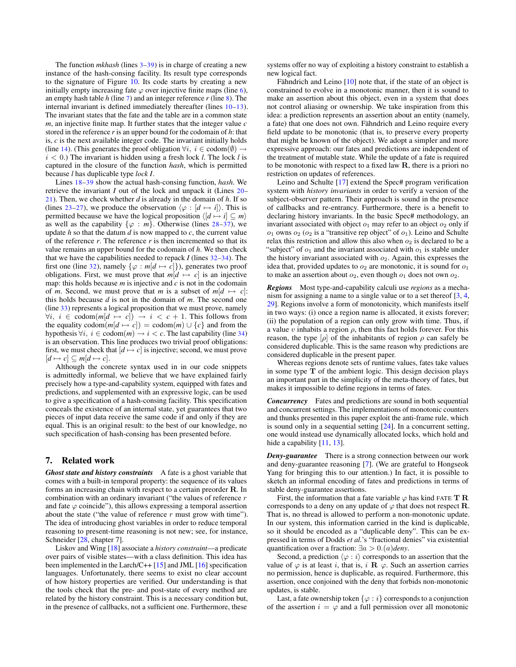The function *mkhash* (lines [3–](#page-9-13)[39](#page-9-14)) is in charge of creating a new instance of the hash-consing facility. Its result type corresponds to the signature of Figure [10.](#page-8-5) Its code starts by creating a new initially empty increasing fate  $\varphi$  over injective finite maps (line [6](#page-9-15)), an empty hash table *h* (line [7](#page-9-16)) and an integer reference *r* (line [8](#page-9-17)). The internal invariant is defined immediately thereafter (lines [10](#page-9-18)[–13](#page-9-19)). The invariant states that the fate and the table are in a common state *m*, an injective finite map. It further states that the integer value *c* stored in the reference *r* is an upper bound for the codomain of *h*: that is, *c* is the next available integer code. The invariant initially holds (line [14](#page-9-20)). (This generates the proof obligation  $\forall i, i \in \text{codom}(\emptyset) \rightarrow$  $i < 0$ .) The invariant is hidden using a fresh lock *l*. The lock *l* is captured in the closure of the function *hash*, which is permitted because *l* has duplicable type *lock I*.

Lines [18–](#page-9-21)[39](#page-9-14) show the actual hash-consing function, *hash*. We retrieve the invariant *I* out of the lock and unpack it (Lines [20–](#page-9-22) [21](#page-9-23)). Then, we check whether *d* is already in the domain of *h*. If so (lines [23–](#page-9-24)[27](#page-9-25)), we produce the observation  $\langle \varphi : [d \mapsto i] \rangle$ . This is permitted because we have the logical proposition  $\langle [d \mapsto i] \subseteq m \rangle$ as well as the capability  $\{\varphi : m\}$ . Otherwise (lines [28](#page-9-26)[–37](#page-9-27)), we update  $h$  so that the datum  $d$  is now mapped to  $c$ , the current value of the reference  $r$ . The reference  $r$  is then incremented so that its value remains an upper bound for the codomain of *h*. We then check that we have the capabilities needed to repack *I* (lines [32–](#page-9-28)[34](#page-9-29)). The first one (line [32](#page-9-28)), namely  $\{\varphi : m[d \mapsto c]\}$ ), generates two proof obligations. First, we must prove that  $m|d \mapsto c|$  is an injective map: this holds because *m* is injective and *c* is not in the codomain of *m*. Second, we must prove that *m* is a subset of  $m[d \mapsto c]$ : this holds because *d* is not in the domain of *m*. The second one (line [33](#page-9-30)) represents a logical proposition that we must prove, namely  $\forall i, i \in \text{codom}(m[d \mapsto c]) \rightarrow i \lt c + 1$ . This follows from the equality  $codom(m[d \mapsto c]) = codom(m) \cup \{c\}$  and from the hypothesis  $\forall i, i \in \text{codom}(m) \rightarrow i < c$ . The last capability (line [34](#page-9-29)) is an observation. This line produces two trivial proof obligations: first, we must check that  $[d \mapsto c]$  is injective; second, we must prove  $[d \mapsto c] \subseteq m[d \mapsto c].$ 

Although the concrete syntax used in in our code snippets is admittedly informal, we believe that we have explained fairly precisely how a type-and-capability system, equipped with fates and predictions, and supplemented with an expressive logic, can be used to give a specification of a hash-consing facility. This specification conceals the existence of an internal state, yet guarantees that two pieces of input data receive the same code if and only if they are equal. This is an original result: to the best of our knowledge, no such specification of hash-consing has been presented before.

## <span id="page-10-0"></span>7. Related work

*Ghost state and history constraints* A fate is a ghost variable that comes with a built-in temporal property: the sequence of its values forms an increasing chain with respect to a certain preorder R. In combination with an ordinary invariant ("the values of reference r and fate  $\varphi$  coincide"), this allows expressing a temporal assertion about the state ("the value of reference  $r$  must grow with time"). The idea of introducing ghost variables in order to reduce temporal reasoning to present-time reasoning is not new; see, for instance, Schneider [\[28,](#page-12-14) chapter 7].

Liskov and Wing [\[18\]](#page-12-15) associate a *history constraint*—a predicate over pairs of visible states—with a class definition. This idea has been implemented in the Larch/C++ [\[15\]](#page-12-16) and JML [\[16\]](#page-12-17) specification languages. Unfortunately, there seems to exist no clear account of how history properties are verified. Our understanding is that the tools check that the pre- and post-state of every method are related by the history constraint. This is a necessary condition but, in the presence of callbacks, not a sufficient one. Furthermore, these

systems offer no way of exploiting a history constraint to establish a new logical fact.

Fähndrich and Leino [\[10\]](#page-12-18) note that, if the state of an object is constrained to evolve in a monotonic manner, then it is sound to make an assertion about this object, even in a system that does not control aliasing or ownership. We take inspiration from this idea: a prediction represents an assertion about an entity (namely, a fate) that one does not own. Fähndrich and Leino require every field update to be monotonic (that is, to preserve every property that might be known of the object). We adopt a simpler and more expressive approach: our fates and predictions are independent of the treatment of mutable state. While the update of a fate is required to be monotonic with respect to a fixed law R, there is a priori no restriction on updates of references.

Leino and Schulte [\[17\]](#page-12-19) extend the Spec# program verification system with *history invariants* in order to verify a version of the subject-observer pattern. Their approach is sound in the presence of callbacks and re-entrancy. Furthermore, there is a benefit to declaring history invariants. In the basic Spec# methodology, an invariant associated with object  $o_1$  may refer to an object  $o_2$  only if  $o_1$  owns  $o_2$  ( $o_2$  is a "transitive rep object" of  $o_1$ ). Leino and Schulte relax this restriction and allow this also when  $o_2$  is declared to be a "subject" of  $o_1$  and the invariant associated with  $o_1$  is stable under the history invariant associated with  $o_2$ . Again, this expresses the idea that, provided updates to  $o_2$  are monotonic, it is sound for  $o_1$ to make an assertion about  $o_2$ , even though  $o_1$  does not own  $o_2$ .

*Regions* Most type-and-capability calculi use *regions* as a mechanism for assigning a name to a single value or to a set thereof [\[3,](#page-11-0) [4,](#page-11-1) [29\]](#page-12-0). Regions involve a form of monotonicity, which manifests itself in two ways: (i) once a region name is allocated, it exists forever; (ii) the population of a region can only grow with time. Thus, if a value  $v$  inhabits a region  $\rho$ , then this fact holds forever. For this reason, the type  $[\rho]$  of the inhabitants of region  $\rho$  can safely be considered duplicable. This is the same reason why predictions are considered duplicable in the present paper.

Whereas regions denote sets of runtime values, fates take values in some type T of the ambient logic. This design decision plays an important part in the simplicity of the meta-theory of fates, but makes it impossible to define regions in terms of fates.

*Concurrency* Fates and predictions are sound in both sequential and concurrent settings. The implementations of monotonic counters and thunks presented in this paper exploit the anti-frame rule, which is sound only in a sequential setting [\[24\]](#page-12-1). In a concurrent setting, one would instead use dynamically allocated locks, which hold and hide a capability [\[11,](#page-12-11) [13\]](#page-12-12).

*Deny-guarantee* There is a strong connection between our work and deny-guarantee reasoning [\[7\]](#page-12-20). (We are grateful to Hongseok Yang for bringing this to our attention.) In fact, it is possible to sketch an informal encoding of fates and predictions in terms of stable deny-guarantee assertions.

First, the information that a fate variable  $\varphi$  has kind FATE **T R** corresponds to a deny on any update of  $\varphi$  that does not respect **R**. That is, no thread is allowed to perform a non-monotonic update. In our system, this information carried in the kind is duplicable, so it should be encoded as a "duplicable deny". This can be expressed in terms of Dodds *et al.*'s "fractional denies" via existential quantification over a fraction: ∃a > 0.(a)*deny*.

Second, a prediction  $\langle \varphi : i \rangle$  corresponds to an assertion that the value of  $\varphi$  is at least i, that is, i **R**  $\varphi$ . Such an assertion carries no permission, hence is duplicable, as required. Furthermore, this assertion, once conjoined with the deny that forbids non-monotonic updates, is stable.

Last, a fate ownership token  $\{\varphi : i\}$  corresponds to a conjunction of the assertion  $i = \varphi$  and a full permission over all monotonic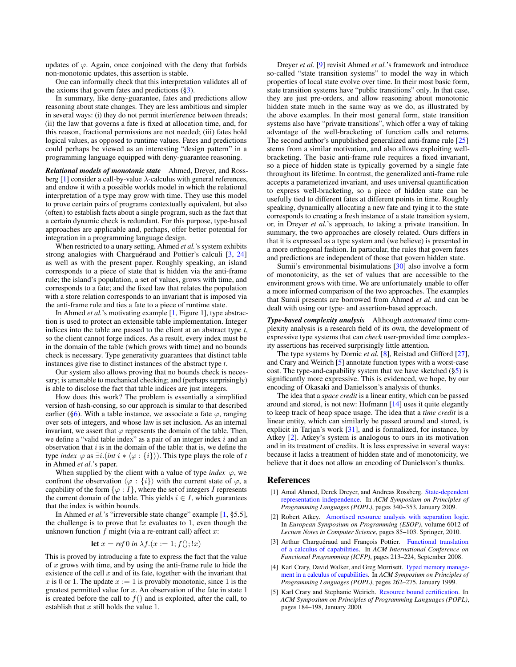updates of  $\varphi$ . Again, once conjoined with the deny that forbids non-monotonic updates, this assertion is stable.

One can informally check that this interpretation validates all of the axioms that govern fates and predictions  $(\S3)$ .

In summary, like deny-guarantee, fates and predictions allow reasoning about state changes. They are less ambitious and simpler in several ways: (i) they do not permit interference between threads; (ii) the law that governs a fate is fixed at allocation time, and, for this reason, fractional permissions are not needed; (iii) fates hold logical values, as opposed to runtime values. Fates and predictions could perhaps be viewed as an interesting "design pattern" in a programming language equipped with deny-guarantee reasoning.

*Relational models of monotonic state* Ahmed, Dreyer, and Rossberg  $[1]$  consider a call-by-value  $\lambda$ -calculus with general references, and endow it with a possible worlds model in which the relational interpretation of a type may grow with time. They use this model to prove certain pairs of programs contextually equivalent, but also (often) to establish facts about a single program, such as the fact that a certain dynamic check is redundant. For this purpose, type-based approaches are applicable and, perhaps, offer better potential for integration in a programming language design.

When restricted to a unary setting, Ahmed *et al.*'s system exhibits strong analogies with Charguéraud and Pottier's calculi [\[3,](#page-11-0) [24\]](#page-12-1) as well as with the present paper. Roughly speaking, an island corresponds to a piece of state that is hidden via the anti-frame rule; the island's population, a set of values, grows with time, and corresponds to a fate; and the fixed law that relates the population with a store relation corresponds to an invariant that is imposed via the anti-frame rule and ties a fate to a piece of runtime state.

In Ahmed *et al.*'s motivating example [\[1,](#page-11-3) Figure 1], type abstraction is used to protect an extensible table implementation. Integer indices into the table are passed to the client at an abstract type *t*, so the client cannot forge indices. As a result, every index must be in the domain of the table (which grows with time) and no bounds check is necessary. Type generativity guarantees that distinct table instances give rise to distinct instances of the abstract type *t*.

Our system also allows proving that no bounds check is necessary; is amenable to mechanical checking; and (perhaps surprisingly) is able to disclose the fact that table indices are just integers.

How does this work? The problem is essentially a simplified version of hash-consing, so our approach is similar to that described earlier ([§6\)](#page-8-0). With a table instance, we associate a fate  $\varphi$ , ranging over sets of integers, and whose law is set inclusion. As an internal invariant, we assert that  $\varphi$  represents the domain of the table. Then, we define a "valid table index" as a pair of an integer index  $i$  and an observation that  $i$  is in the domain of the table: that is, we define the type *index*  $\varphi$  as  $\exists i$ .(*int*  $i * \langle \varphi : {\{i\}} \rangle$ ). This type plays the role of *t* in Ahmed *et al.*'s paper.

When supplied by the client with a value of type *index*  $\varphi$ , we confront the observation  $\langle \varphi : \{i\} \rangle$  with the current state of  $\varphi$ , a capability of the form  $\{\varphi : I\}$ , where the set of integers I represents the current domain of the table. This yields  $i \in I$ , which guarantees that the index is within bounds.

In Ahmed *et al.*'s "irreversible state change" example [\[1,](#page-11-3) §5.5], the challenge is to prove that  $x$  evaluates to 1, even though the unknown function  $f$  might (via a re-entrant call) affect  $x$ :

**let** 
$$
x = ref \ 0
$$
 in  $\lambda f.(x := 1; f(); !x)$ 

This is proved by introducing a fate to express the fact that the value of  $x$  grows with time, and by using the anti-frame rule to hide the existence of the cell  $x$  and of its fate, together with the invariant that x is 0 or 1. The update  $x := 1$  is provably monotonic, since 1 is the greatest permitted value for  $x$ . An observation of the fate in state 1 is created before the call to  $f()$  and is exploited, after the call, to establish that  $x$  still holds the value 1.

Dreyer *et al.* [\[9\]](#page-12-21) revisit Ahmed *et al.*'s framework and introduce so-called "state transition systems" to model the way in which properties of local state evolve over time. In their most basic form, state transition systems have "public transitions" only. In that case, they are just pre-orders, and allow reasoning about monotonic hidden state much in the same way as we do, as illustrated by the above examples. In their most general form, state transition systems also have "private transitions", which offer a way of taking advantage of the well-bracketing of function calls and returns. The second author's unpublished generalized anti-frame rule [\[25\]](#page-12-22) stems from a similar motivation, and also allows exploiting wellbracketing. The basic anti-frame rule requires a fixed invariant, so a piece of hidden state is typically governed by a single fate throughout its lifetime. In contrast, the generalized anti-frame rule accepts a parameterized invariant, and uses universal quantification to express well-bracketing, so a piece of hidden state can be usefully tied to different fates at different points in time. Roughly speaking, dynamically allocating a new fate and tying it to the state corresponds to creating a fresh instance of a state transition system, or, in Dreyer *et al.*'s approach, to taking a private transition. In summary, the two approaches are closely related. Ours differs in that it is expressed as a type system and (we believe) is presented in a more orthogonal fashion. In particular, the rules that govern fates and predictions are independent of those that govern hidden state.

Sumii's environmental bisimulations [\[30\]](#page-12-23) also involve a form of monotonicity, as the set of values that are accessible to the environment grows with time. We are unfortunately unable to offer a more informed comparison of the two approaches. The examples that Sumii presents are borrowed from Ahmed *et al.* and can be dealt with using our type- and assertion-based approach.

*Type-based complexity analysis* Although *automated* time complexity analysis is a research field of its own, the development of expressive type systems that can *check* user-provided time complexity assertions has received surprisingly little attention.

The type systems by Dornic *et al.* [\[8\]](#page-12-24), Reistad and Gifford [\[27\]](#page-12-25), and Crary and Weirich [\[5\]](#page-11-2) annotate function types with a worst-case cost. The type-and-capability system that we have sketched ([§5\)](#page-6-0) is significantly more expressive. This is evidenced, we hope, by our encoding of Okasaki and Danielsson's analysis of thunks.

The idea that a *space credit* is a linear entity, which can be passed around and stored, is not new: Hofmann [\[14\]](#page-12-26) uses it quite elegantly to keep track of heap space usage. The idea that a *time credit* is a linear entity, which can similarly be passed around and stored, is explicit in Tarjan's work [\[31\]](#page-12-6), and is formalized, for instance, by Atkey [\[2\]](#page-11-4). Atkey's system is analogous to ours in its motivation and in its treatment of credits. It is less expressive in several ways: because it lacks a treatment of hidden state and of monotonicity, we believe that it does not allow an encoding of Danielsson's thunks.

#### References

- <span id="page-11-3"></span>[1] Amal Ahmed, Derek Dreyer, and Andreas Rossberg. [State-dependent](http://ttic.uchicago.edu/~amal/papers/sdri.pdf) [representation independence.](http://ttic.uchicago.edu/~amal/papers/sdri.pdf) In *ACM Symposium on Principles of Programming Languages (POPL)*, pages 340–353, January 2009.
- <span id="page-11-4"></span>[2] Robert Atkey. [Amortised resource analysis with separation logic.](http://personal.cis.strath.ac.uk/~raa/amortised-sep-logic.pdf) In *European Symposium on Programming (ESOP)*, volume 6012 of *Lecture Notes in Computer Science*, pages 85–103. Springer, 2010.
- <span id="page-11-0"></span>[3] Arthur Charguéraud and François Pottier. [Functional translation](http://gallium.inria.fr/~fpottier/publis/chargueraud-pottier-capabilities.pdf) [of a calculus of capabilities.](http://gallium.inria.fr/~fpottier/publis/chargueraud-pottier-capabilities.pdf) In *ACM International Conference on Functional Programming (ICFP)*, pages 213–224, September 2008.
- <span id="page-11-1"></span>[4] Karl Crary, David Walker, and Greg Morrisett. [Typed memory manage](http://www.cs.cornell.edu/talc/papers/capabilities.pdf)[ment in a calculus of capabilities.](http://www.cs.cornell.edu/talc/papers/capabilities.pdf) In *ACM Symposium on Principles of Programming Languages (POPL)*, pages 262–275, January 1999.
- <span id="page-11-2"></span>[5] Karl Crary and Stephanie Weirich. [Resource bound certification.](http://www.cs.cornell.edu/talc/papers/resource_bound/res.pdf) In *ACM Symposium on Principles of Programming Languages (POPL)*, pages 184–198, January 2000.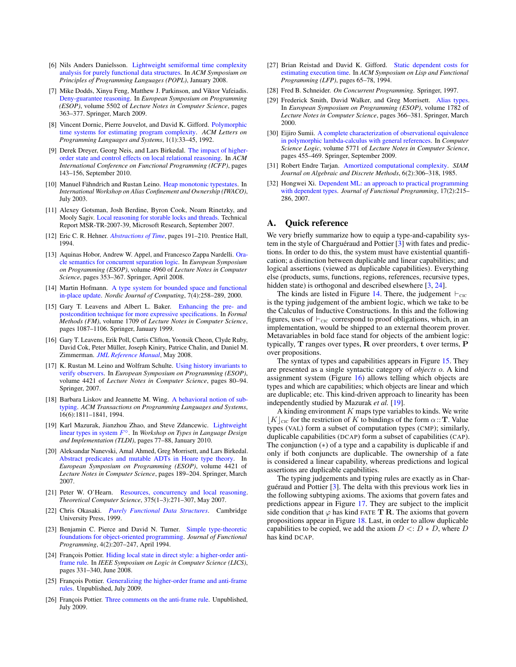- <span id="page-12-2"></span>[6] Nils Anders Danielsson. [Lightweight semiformal time complexity](http://www.cs.chalmers.se/~nad/publications/danielsson-popl2008.pdf) [analysis for purely functional data structures.](http://www.cs.chalmers.se/~nad/publications/danielsson-popl2008.pdf) In *ACM Symposium on Principles of Programming Languages (POPL)*, January 2008.
- <span id="page-12-20"></span>[7] Mike Dodds, Xinyu Feng, Matthew J. Parkinson, and Viktor Vafeiadis. [Deny-guarantee reasoning.](http://ttic.uchicago.edu/~feng/research/publications/DG.pdf) In *European Symposium on Programming (ESOP)*, volume 5502 of *Lecture Notes in Computer Science*, pages 363–377. Springer, March 2009.
- <span id="page-12-24"></span>[8] Vincent Dornic, Pierre Jouvelot, and David K. Gifford. [Polymorphic](https://eprints.kfupm.edu.sa/58299/1/58299.pdf) [time systems for estimating program complexity.](https://eprints.kfupm.edu.sa/58299/1/58299.pdf) *ACM Letters on Programming Languages and Systems*, 1(1):33–45, 1992.
- <span id="page-12-21"></span>[9] Derek Dreyer, Georg Neis, and Lars Birkedal. [The impact of higher](http://www.itu.dk/~birkedal/papers/stslr-conf.pdf)[order state and control effects on local relational reasoning.](http://www.itu.dk/~birkedal/papers/stslr-conf.pdf) In *ACM International Conference on Functional Programming (ICFP)*, pages 143–156, September 2010.
- <span id="page-12-18"></span>[10] Manuel Fähndrich and Rustan Leino. [Heap monotonic typestates.](http://research.microsoft.com/en-us/um/people/leino/papers/krml123.pdf) In *International Workshop on Alias Confinement and Ownership (IWACO)*, July 2003.
- <span id="page-12-11"></span>[11] Alexey Gotsman, Josh Berdine, Byron Cook, Noam Rinetzky, and Mooly Sagiv. [Local reasoning for storable locks and threads.](ftp://ftp.research.microsoft.com/pub/tr/TR-2007-39.pdf) Technical Report MSR-TR-2007-39, Microsoft Research, September 2007.
- <span id="page-12-8"></span>[12] Eric C. R. Hehner. *[Abstractions of Time](http://www.cs.toronto.edu/~hehner/AoT.pdf)*, pages 191–210. Prentice Hall, 1994.
- <span id="page-12-12"></span>[13] Aquinas Hobor, Andrew W. Appel, and Francesco Zappa Nardelli. [Ora](http://www.cs.princeton.edu/~appel/papers/concurrent.pdf)[cle semantics for concurrent separation logic.](http://www.cs.princeton.edu/~appel/papers/concurrent.pdf) In *European Symposium on Programming (ESOP)*, volume 4960 of *Lecture Notes in Computer Science*, pages 353–367. Springer, April 2008.
- <span id="page-12-26"></span>[14] Martin Hofmann. [A type system for bounded space and functional](http://www.tcs.informatik.uni-muenchen.de/~mhofmann/nordic.ps.gz) [in-place update.](http://www.tcs.informatik.uni-muenchen.de/~mhofmann/nordic.ps.gz) *Nordic Journal of Computing*, 7(4):258–289, 2000.
- <span id="page-12-16"></span>[15] Gary T. Leavens and Albert L. Baker. [Enhancing the pre- and](http://dx.doi.org/10.1007/3-540-48118-4_8) [postcondition technique for more expressive specifications.](http://dx.doi.org/10.1007/3-540-48118-4_8) In *Formal Methods (FM)*, volume 1709 of *Lecture Notes in Computer Science*, pages 1087–1106. Springer, January 1999.
- <span id="page-12-17"></span>[16] Gary T. Leavens, Erik Poll, Curtis Clifton, Yoonsik Cheon, Clyde Ruby, David Cok, Peter Müller, Joseph Kiniry, Patrice Chalin, and Daniel M. Zimmerman. *[JML Reference Manual](http://www.jmlspecs.org/OldReleases/jmlrefman.pdf)*, May 2008.
- <span id="page-12-19"></span>[17] K. Rustan M. Leino and Wolfram Schulte. [Using history invariants to](http://research.microsoft.com/en-us/um/people/leino/papers/krml166.pdf) [verify observers.](http://research.microsoft.com/en-us/um/people/leino/papers/krml166.pdf) In *European Symposium on Programming (ESOP)*, volume 4421 of *Lecture Notes in Computer Science*, pages 80–94. Springer, 2007.
- <span id="page-12-15"></span>[18] Barbara Liskov and Jeannette M. Wing. [A behavioral notion of sub](http://www.cs.cmu.edu/~wing/publications/LiskovWing94.pdf)[typing.](http://www.cs.cmu.edu/~wing/publications/LiskovWing94.pdf) *ACM Transactions on Programming Languages and Systems*, 16(6):1811–1841, 1994.
- <span id="page-12-27"></span>[19] Karl Mazurak, Jianzhou Zhao, and Steve Zdancewic. [Lightweight](http://www.cis.upenn.edu/~stevez/papers/MZZ10.pdf) [linear types in system](http://www.cis.upenn.edu/~stevez/papers/MZZ10.pdf) F ◦. In *Workshop on Types in Language Design and Implementation (TLDI)*, pages 77–88, January 2010.
- <span id="page-12-9"></span>[20] Aleksandar Nanevski, Amal Ahmed, Greg Morrisett, and Lars Birkedal. [Abstract predicates and mutable ADTs in Hoare type theory.](http://www.eecs.harvard.edu/~aleks/papers/hoarelogic/esop07.pdf) In *European Symposium on Programming (ESOP)*, volume 4421 of *Lecture Notes in Computer Science*, pages 189–204. Springer, March 2007.
- <span id="page-12-13"></span>[21] Peter W. O'Hearn. [Resources, concurrency and local reasoning.](http://www.dcs.qmul.ac.uk/~ohearn/papers/concurrency.pdf) *Theoretical Computer Science*, 375(1–3):271–307, May 2007.
- <span id="page-12-7"></span>[22] Chris Okasaki. *[Purely Functional Data Structures](http://www.cambridge.org/us/catalogue/catalogue.asp?isbn=0521663504)*. Cambridge University Press, 1999.
- <span id="page-12-5"></span>[23] Benjamin C. Pierce and David N. Turner. [Simple type-theoretic](http://www.cis.upenn.edu/~bcpierce/papers/oop.ps) [foundations for object-oriented programming.](http://www.cis.upenn.edu/~bcpierce/papers/oop.ps) *Journal of Functional Programming*, 4(2):207–247, April 1994.
- <span id="page-12-1"></span>[24] François Pottier. [Hiding local state in direct style: a higher-order anti](http://gallium.inria.fr/~fpottier/publis/fpottier-antiframe-2008.pdf)[frame rule.](http://gallium.inria.fr/~fpottier/publis/fpottier-antiframe-2008.pdf) In *IEEE Symposium on Logic in Computer Science (LICS)*, pages 331–340, June 2008.
- <span id="page-12-22"></span>[25] François Pottier. [Generalizing the higher-order frame and anti-frame](http://gallium.inria.fr/~fpottier/publis/fpottier-gaf-2009.pdf) [rules.](http://gallium.inria.fr/~fpottier/publis/fpottier-gaf-2009.pdf) Unpublished, July 2009.
- <span id="page-12-10"></span>[26] François Pottier. [Three comments on the anti-frame rule.](http://gallium.inria.fr/~fpottier/publis/fpottier-caf-2009.pdf) Unpublished, July 2009.
- <span id="page-12-25"></span>[27] Brian Reistad and David K. Gifford. [Static dependent costs for](http://doi.acm.org/10.1145/182409.182439) [estimating execution time.](http://doi.acm.org/10.1145/182409.182439) In *ACM Symposium on Lisp and Functional Programming (LFP)*, pages 65–78, 1994.
- <span id="page-12-14"></span>[28] Fred B. Schneider. *On Concurrent Programming*. Springer, 1997.
- <span id="page-12-0"></span>[29] Frederick Smith, David Walker, and Greg Morrisett. [Alias types.](http://www.cs.cornell.edu/talc/papers/alias.pdf) In *European Symposium on Programming (ESOP)*, volume 1782 of *Lecture Notes in Computer Science*, pages 366–381. Springer, March 2000.
- <span id="page-12-23"></span>[30] Eijiro Sumii. [A complete characterization of observational equivalence](http://www.kb.ecei.tohoku.ac.jp/~sumii/pub/poly-ref.pdf) [in polymorphic lambda-calculus with general references.](http://www.kb.ecei.tohoku.ac.jp/~sumii/pub/poly-ref.pdf) In *Computer Science Logic*, volume 5771 of *Lecture Notes in Computer Science*, pages 455–469. Springer, September 2009.
- <span id="page-12-6"></span>[31] Robert Endre Tarjan. [Amortized computational complexity.](http://dx.doi.org/10.1137/0606031) *SIAM Journal on Algebraic and Discrete Methods*, 6(2):306–318, 1985.
- <span id="page-12-4"></span>[32] Hongwei Xi. [Dependent ML: an approach to practical programming](http://www.cs.bu.edu/~hwxi/academic/papers/JFPdml.pdf) [with dependent types.](http://www.cs.bu.edu/~hwxi/academic/papers/JFPdml.pdf) *Journal of Functional Programming*, 17(2):215– 286, 2007.

# <span id="page-12-3"></span>A. Quick reference

We very briefly summarize how to equip a type-and-capability system in the style of Charguéraud and Pottier [\[3\]](#page-11-0) with fates and predictions. In order to do this, the system must have existential quantification; a distinction between duplicable and linear capabilities; and logical assertions (viewed as duplicable capabilities). Everything else (products, sums, functions, regions, references, recursive types, hidden state) is orthogonal and described elsewhere [\[3,](#page-11-0) [24\]](#page-12-1).

The kinds are listed in Figure [14.](#page-13-0) There, the judgement  $\vdash_{\text{CIC}}$ is the typing judgement of the ambient logic, which we take to be the Calculus of Inductive Constructions. In this and the following figures, uses of  $\vdash_{\text{CIC}}$  correspond to proof obligations, which, in an implementation, would be shipped to an external theorem prover. Metavariables in bold face stand for objects of the ambient logic: typically, T ranges over types, R over preorders, t over terms, P over propositions.

The syntax of types and capabilities appears in Figure [15.](#page-13-1) They are presented as a single syntactic category of *objects* o. A kind assignment system (Figure [16\)](#page-13-2) allows telling which objects are types and which are capabilities; which objects are linear and which are duplicable; etc. This kind-driven approach to linearity has been independently studied by Mazurak *et al.* [\[19\]](#page-12-27).

A kinding environment  $K$  maps type variables to kinds. We write  $|K|_{\text{cyc}}$  for the restriction of K to bindings of the form  $\alpha$ : T. Value types (VAL) form a subset of computation types (CMP); similarly, duplicable capabilities (DCAP) form a subset of capabilities (CAP). The conjunction (∗) of a type and a capability is duplicable if and only if both conjuncts are duplicable. The ownership of a fate is considered a linear capability, whereas predictions and logical assertions are duplicable capabilities.

The typing judgements and typing rules are exactly as in Charguéraud and Pottier [\[3\]](#page-11-0). The delta with this previous work lies in the following subtyping axioms. The axioms that govern fates and predictions appear in Figure [17.](#page-13-3) They are subject to the implicit side condition that  $\varphi$  has kind FATE **T R**. The axioms that govern propositions appear in Figure [18.](#page-13-4) Last, in order to allow duplicable capabilities to be copied, we add the axiom  $D \lt: D * D$ , where D has kind DCAP.